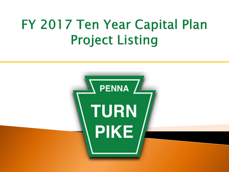# FY 2017 Ten Year Capital Plan **Project Listing**

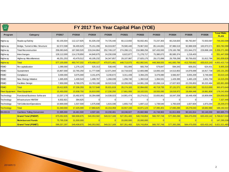| T PENTIA /<br>TURN<br>NE/ |                                    |             |             |             | FY 2017 Ten Year Capital Plan (YOE) |             |               |             |             |               |               |                                   |
|---------------------------|------------------------------------|-------------|-------------|-------------|-------------------------------------|-------------|---------------|-------------|-------------|---------------|---------------|-----------------------------------|
| Program                   | Category                           | FY2017      | FY2018      | FY2019      | <b>FY2020</b>                       | FY2021      | <b>FY2022</b> | FY2023      | FY2024      | <b>FY2025</b> | <b>FY2026</b> | <b>Total FINAL</b><br><b>PLAN</b> |
| Highw ay                  | Roadw ay/Safety                    | 82,155,504  | 112,127,825 | 91,026,150  | 74,725,440                          | 60,113,650  | 56,932,461    | 72,237,303  | 60,218,820  | 66,792,847    | 72,933,597    | 749,263,598                       |
| Highw ay                  | Bridge, Tunnel & Misc Structure    | 62,572,598  | 56,400,625  | 75,151,206  | 84,019,007                          | 78,580,440  | 79,967,932    | 85,144,691  | 87,986,519  | 92,988,509    | 100,970,571   | 803,782,098                       |
| Highw ay                  | <b>Total Reconstruction</b>        | 258,063,645 | 167,560,520 | 219,244,864 | 252,749,137                         | 274,288,121 | 216,988,256   | 187,433,593 | 178,100,786 | 221,944,272   | 229,898,189   | 2,206,271,383                     |
| Highw ay                  | Interchanges                       | 128,112,000 | 114,178,850 | 44,840,675  | 24,230,039                          | 6,622,877   | 71,278,717    | 75,380,072  | 85,585,374  | 1,218,403     |               | 551,447,008                       |
| Highw ay                  | Highw ay Miscellaneous             | 46,251,253  | 43,479,512  | 40,195,232  | 34, 347, 857                        | 29,107,987  | 27,825,175    | 28,172,896  | 29,709,299  | 30,756,632    | 31,812,786    | 341,658,628                       |
| Highw ay                  | Total                              | 577,155,000 | 493,747,332 | 470,458,127 | 470,071,481                         | 448,713,075 | 452.992.541   | 448,368,555 | 441,600,799 | 413.700.662   | 435,615,143   | 4,652,422,716                     |
| <b>FEMO</b>               | Re-capitalization                  | 1,090,000   | 1,276,125   | 525,313     | 538,445                             | 551,906     | 565.704       | 579,847     | 594,343     | 609,201       | 624,431       | 6,955,316                         |
| <b>FEMO</b>               | Sustainment                        | 15,807,000  | 22,765,250  | 11,777,506  | 12,071,944                          | 10,718,023  | 12,683,086    | 13,000,163  | 14,513,853  | 14,876,699    | 16,917,738    | 145, 131, 263                     |
| <b>FEMO</b>               | Compliance                         | 3,000,000   | 3,075,000   | 3,151,875   | 3,230,672                           | 3,311,439   | 3,394,225     | 3,479,080   | 3,566,057   | 3,655,209     | 3,746,589     | 33,610,145                        |
| <b>FEMO</b>               | New Energy Initiative              | 1,665,835   | 1,430,543   | 1,499,767   | 1,268,039                           | 1,299,740   | 1,360,518     | 1,394,531   | 1,429,395   | 1,465,129     | 1,501,758     | 14,315,255                        |
| FEMO                      | <b>Facilities Design</b>           | 7,850,000   | 8,789,375   | 13,763,188  | 18,522,519                          | 10,293,055  | 14,991,159    | 22,266,114  | 17,027,923  | 22,235,853    | 30,222,484    | 165,961,669                       |
| <b>FEMO</b>               | <b>Total</b>                       | 29,412,835  | 37,336,293  | 30,717,648  | 35.631.619                          | 26,174,163  | 32,994,692    | 40.719.735  | 37,131,571  | 42,842,092    | 53,013,000    | 365,973,649                       |
| <b>Fleet Equipmer</b>     | <b>Fleet Equipment</b>             | 15,450,000  | 15,938,750  | 16,810,000  | 17,230,250                          | 17,661,006  | 18,102,531    | 18,555,095  | 19,018,972  | 19,494,446    | 19,981,808    | 178,242,858                       |
| Technology                | Functional Business Softw are      | 13,207,179  | 15,492,875  | 16,284,688  | 14,538,023                          | 14,901,474  | 15,274,011    | 15,655,861  | 16,047,258  | 16,448,439    | 16,809,696    | 154,659,503                       |
| Technology                | Infrastructure HW/SW               | 6,932,821   | 394,625     |             |                                     |             |               |             | O           |               |               | 7,327,446                         |
| Technology                | <b>Toll Collection/Operations</b>  | 10,900,000  | 1,537,500   | 1,575,938   | 1,615,336                           | 1,655,719   | 1,697,112     | 1,739,540   | 1,783,029   | 1,827,604     | 1,873,294     | 26,205,073                        |
| <b>Technology</b>         | <b>Total</b>                       | 31,040,000  | 17,425,000  | 17,860,625  | 16,153,359                          | 16,557,193  | 16,971,123    | 17,395,401  | 17,830,286  | 18,276,043    | 18,682,990    | 188,192,022                       |
| EN-00115                  | <b>Cashless Tolling Conversion</b> | 21,995,000  | 16,461,500  | 4,507,181   | 10,230,461                          | 18,246,027  | 25,682,966    | 41,748,963  | 61,811,659  | 90,161,814    | 93,140,200    | 383,985,773                       |
|                           | <b>Grand Total (PSEXP)</b>         | 675,052,835 | 580,908,875 | 540,353,582 | 549,317,169                         | 527,351,465 | 546,743,854   | 566,787,749 | 577,393,288 | 584,475,059   | 620,433,142   | 5,768,817,018                     |
|                           | <b>Reimbursed Funds</b>            | 75,795,538  | 31,500,000  |             |                                     | 20,000,000  | 20,000,000    |             |             |               |               | 147,295,538                       |
|                           | <b>Grand Total (PSNET)</b>         | 599,257,297 | 549,408,875 | 540.353.582 | 549,317,169                         | 507,351,465 | 526,743,854   | 566,787,749 | 577,393,288 | 584.475.059   | 620.433.142   | 5,621,521,480                     |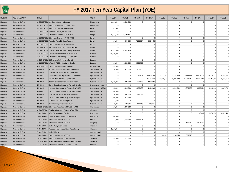| <b>PENNA</b> |
|--------------|
| TURN         |
| PIKE         |
|              |

| <b>TPENNA</b><br><b>TURN</b><br>PIKE |                                    |                              |                                                       | FY 2017 Ten Year Capital Plan (YOE) |                |                |                |                |                |                |                |                |                |            |
|--------------------------------------|------------------------------------|------------------------------|-------------------------------------------------------|-------------------------------------|----------------|----------------|----------------|----------------|----------------|----------------|----------------|----------------|----------------|------------|
| Program                              | Program Category                   | Project                      |                                                       | County                              | FY 2017        | FY 2018        | FY 2019        | FY 2020        | FY 2021        | FY 2022        | FY 2023        | FY 2024        | FY 2025        | FY 2026    |
| Highw ay                             | Roadw ay/Safety                    |                              | A-020.00R001 Mid County Concrete Repairs              | Montgomery                          | 1,274,000      | 2,583,000      | $\Omega$       | $\circ$        | $\Omega$       | $\circ$        | $\Omega$       | $\Omega$       | 0              |            |
| Highw ay                             | Roadw ay/Safety                    |                              | A-031.00R001 Bituminous Resurfacing, MP A31-A40       | Montgomery                          | $\Omega$       | $\Omega$       | $\Omega$       | $\Omega$       | $\Omega$       | $\Omega$       | $\Omega$       | $\Omega$       | $\Omega$       | $\Omega$   |
| Highw ay                             | Roadw ay/Safety                    |                              | A-040.00R001 Bituminous Overlay, MP A40-A49           | <b>Bucks</b>                        | 953,904        | $\Omega$       |                | $\Omega$       | $\Omega$       | $\Omega$       | $\Omega$       | $\Omega$       | $\overline{0}$ | $\Omega$   |
| Highw ay                             | Roadw ay/Safety                    |                              | A-040.00R002 Shoulder Repairs, MP A31-A59             | <b>Bucks</b>                        | $\Omega$       | $\Omega$       | $\Omega$       | $\Omega$       | $\Omega$       | $\Omega$       | $\Omega$       | $\Omega$       | $\overline{0}$ | $\Omega$   |
| Highw ay                             | Roadw ay/Safety                    |                              | A-049.00R001 Bituminous Overlay, MP A49-A59           | Lehigh                              | 9,607,500      | 6,688,125      | $\Omega$       | $\Omega$       | $\Omega$       | $\Omega$       | $\Omega$       | $\Omega$       | $\Omega$       | $\Omega$   |
| Highw ay                             | Roadw ay/Safety                    |                              | A-059.00R001 Bituminous Overlay, MP A59-A70.2         | Lehigh                              | $\Omega$       | $\Omega$       | $\Omega$       | $\Omega$       | $\Omega$       | $\Omega$       | $\Omega$       | $\Omega$       | $\overline{0}$ | $\Omega$   |
| Highw ay                             | Roadw ay/Safety                    |                              | A-059.00R002 Rock Cut Remed & Slope Repairs           | Lehigh                              | 120,000        | 594,500        | 7,722,094      | 5,384,453      |                | $\Omega$       | $\Omega$       | $\Omega$       | $\overline{0}$ |            |
| Highw ay                             | Roadw ay/Safety                    |                              | A-069.00R001 Bituminous Overlay, MP A69-A73.4         | Lehigh                              | $\Omega$       | $\Omega$       | $\Omega$       | $\Omega$       | $\Omega$       | $\Omega$       | $\Omega$       | $\Omega$       | $\Omega$       | $\Omega$   |
| Highw ay                             | Roadw ay/Safety                    |                              | A-075.86R001 Bit. Overlay, Mahoning Valley IC Ramps   | Carbon                              | $\Omega$       | $\Omega$       | $\Omega$       | $\Omega$       | $\Omega$       | $\Omega$       | $\Omega$       | $\Omega$       | $\overline{0}$ | $\Omega$   |
| Highw ay                             | Roadw ay/Safety                    |                              | A-088.00R002 Concrete Removal & Bit. Overlay A88-A95  | Carbon                              | 8,527,500      | 10,224,375     |                | $\Omega$       |                | $\Omega$       | $\overline{0}$ | $\Omega$       | 0              | $\Omega$   |
| Highw ay                             | Roadw ay/Safety                    |                              | A-102.00R001 Pavement Rehabilitation, MP A101-A104    | Luzerne                             | 16,300,000     | $\Omega$       | $\Omega$       | $\overline{0}$ | $\Omega$       | $\overline{0}$ | $\overline{0}$ | $\overline{0}$ | 0              | $\Omega$   |
| <b>Highw</b> ay                      | Roadw ay/Safety                    |                              | A-105.00R002 Bituminous Resurfacing, MP A105-A115     | Luzerne                             | $\Omega$       | $\Omega$       |                | $\Omega$       | $\Omega$       |                | $\Omega$       |                | $\Omega$       | $\Omega$   |
| <b>Highw</b> ay                      | Roadw ay/Safety                    |                              | A-114.45R001 Bit Overlay of Wyoming Valley I/C        | Luzerne                             | $\Omega$       | $\Omega$       |                |                |                | $\Omega$       | $\Omega$       | $\Omega$       | $\overline{0}$ |            |
| Highw ay                             | Roadw ay/Safety                    |                              | A-115.00R001 MP A115-A120.4 Bituminous Overlay        | Luzerne                             | 250,000        | 1,332,500      | 6,303,750      | $\Omega$       | $\Omega$       | $\Omega$       | $\Omega$       | $\Omega$       | $\overline{0}$ | $\Omega$   |
| <b>Highw</b> ay                      | Roadw ay/Safety                    | A-130.64R001                 | Clarks Summit Interchange Ramps                       | Lackaw anna                         | 1,995,000      | $\Omega$       |                | $\Omega$       | $\Omega$       | $\Omega$       | $\Omega$       | $\Omega$       | $\Omega$       | $\Omega$   |
| Highw ay                             | Roadw ay/Safety                    | EN-00028                     | Access Ramp Construction - Systemwide                 | Systemwide - ALL                    | 100,000        | 2,412,850      | 1,155,688      | $\overline{0}$ | $\overline{0}$ | $\overline{0}$ | $\overline{0}$ | $\overline{0}$ | 0              |            |
| Highw ay                             | Roadw ay/Safety                    | EN-00029                     | Conc Median Barrier Install - Systemwide              | Systemwide - ALL                    | $\Omega$       | $\Omega$       |                |                |                | $\Omega$       | $\Omega$       |                | $\Omega$       |            |
| Highw ay                             | Roadw ay/Safety                    | EN-00033                     | O/E Roadw ay Paving/Repairs - Systemwide              | Systemwide - ALL                    | $\overline{0}$ | 0              | 10,506         | 13,504,208     | 13,841,814     | 14,187,859     | 14,542,555     | 14,906,119     | 15,278,772     | 15,660,742 |
| Highw ay                             | Roadw ay/Safety                    | EN-00039                     | Mill and Pave Projects - Systemwide                   | Systemwide - ALL                    |                | $\Omega$       |                | 12,427,318     | 44,925,185     | 40,334,703     | 45,228,043     | 41,366,264     | 48,797,036     | 45,408,658 |
| Highw ay                             | Roadw ay/Safety                    | EN-00045                     | Attenuator Replacement at Interchanges                | Systemwide - ALL                    | 1,000,000      | 1,025,000      | 1,050,625      | 1,076,891      | $\Omega$       | $\Omega$       | $\Omega$       | $\Omega$       | $\Omega$       |            |
| Highw ay                             | Roadw ay/Safety                    | EN-00138                     | CY 14 Open-End Roadway Paving & Repairs               | Systemwide - ALL                    | $\overline{0}$ | $\overline{0}$ | $\Omega$       | $\Omega$       | $\Omega$       | $\Omega$       | $\Omega$       | $\Omega$       | $\Omega$       |            |
| Highw ay                             | Roadw ay/Safety                    | EN-00145                     | Northeast Ext. Roadw ay Rehab MP A75-122              | Systemwide - NE Ext.                | 475,000        | 1,025,000      | 1,155,688      | 1,184,580      | 1,214,194      | 1,244,549      | 1,275,663      | 1,307,554      | 1,340,243      | 1,373,749  |
| Highw ay                             | Roadw ay/Safety                    | EN-00149                     | CY 15 Open-End Roadway Paving & Repairs               | Systemwide - ALL                    | 630,000        | $\Omega$       | $\Omega$       | $\Omega$       | $\Omega$       | $\Omega$       | $\Omega$       | $\Omega$       | $\Omega$       |            |
| Highw ay                             | Roadw ay/Safety                    | EN-00160                     | Conc Median Barrier Install-Systemwide                | Systemwide - ALL                    | 120,000        | 307,500        | 315,188        | $\Omega$       | $\Omega$       | $\Omega$       | $\Omega$       | $\Omega$       | $\Omega$       | $\Omega$   |
| Highw ay                             | Roadw ay/Safety                    | EN-00161                     | CY 16 Open End Roadw ay Paving & Repairs              | Systemwide - ALL                    | 12,015,000     | 215.250        |                | $\Omega$       | $\Omega$       | $\Omega$       | $\Omega$       |                | $\Omega$       |            |
| Highw ay                             | Roadw ay/Safety                    | EN-00190                     | Guiderail End Treatment Updates                       | Systemwide - ALL                    | 557,600        | $\Omega$       | $\Omega$       |                | $\Omega$       | $\Omega$       | $\Omega$       | $\Omega$       | $\overline{0}$ | $\Omega$   |
| Highw ay                             | Roadw ay/Safety                    | EN-00192                     | <b>Truck Parking Improvement Study</b>                | Systemwide - ALL                    | 50,000         | 107,625        | 110,316        | 113,074        | $\Omega$       | $\Omega$       | $\Omega$       | $\Omega$       | $\Omega$       | $\Omega$   |
| Highw ay                             | Roadw ay/Safety                    | M-032.40R001                 | Bituminous Resurfacing MP M32.4-M44.8                 | Washington                          | 100,000        | 4.305.000      | $\Omega$       | $\Omega$       | $\Omega$       | $\circ$        | $\overline{0}$ | $\circ$        | 0              | $\Omega$   |
| Highw ay                             | Roadw ay/Safety                    | S-000.00R001                 | Roadw ay Pavement Repairs MP S0-S5.6                  | Allegheny                           | $\Omega$       | $\Omega$       | $\Omega$       | $\Omega$       |                | $\Omega$       | $\Omega$       |                | $\Omega$       |            |
| Highw ay                             | Roadw ay/Safety                    | T-000.00R001                 | MP 0-2.3 Bituminous Overlay                           | Law rence                           | $\Omega$       | $\Omega$       | $\Omega$       | $\Omega$       | $\Omega$       | $\Omega$       | $\Omega$       | 142,642        | 1,376,795      | 10,490,449 |
| Highw ay                             | Roadw ay/Safety                    | T-001.43R001                 | Gatew ay Interchange Concrete Repairs                 | Law rence                           | 1,050,000      | $\Omega$       |                | $\Omega$       | $\Omega$       | $\Omega$       | $\overline{0}$ | $\Omega$       | $\Omega$       |            |
| Highw ay                             | Roadw ay/Safety                    |                              | T-019.00R002 Bituminous Overlay, MP 19-25             | Beaver                              | 74,000         | 1,158,250      | 4.412.625      | $\Omega$       | $\Omega$       | $\Omega$       | $\Omega$       | $\Omega$       | $\overline{0}$ |            |
| Highw ay                             | Roadw ay/Safety                    | T-038.00R001                 | Bituminous Overlay, MP 38-40                          | Allegheny                           | $\Omega$       | $\Omega$       | $\Omega$       | $\Omega$       | $\Omega$       | $\Omega$       | 115,969        | 2,496,240      | $\Omega$       | $\Omega$   |
| Highw ay                             | Roadw ay/Safety                    | T-039.10R001                 | <b>Butler Valley Interchange</b>                      | Allegheny                           | $\Omega$       | $\Omega$       |                |                | $\Omega$       | $\Omega$       | $\overline{0}$ |                | $\overline{0}$ | $\Omega$   |
| Highw ay                             | Roadw ay/Safety                    | T-056,44R002                 | Pittsburgh Interchange Ramp Resurfacing               | Allegheny                           | 2.100.000      | $\Omega$       | $\Omega$       | $\Omega$       | $\Omega$       | $\overline{0}$ | $\Omega$       | $\Omega$       | $\overline{0}$ | $\Omega$   |
| Highw ay                             |                                    | T-067.22R001 Irw in I/C Ramp |                                                       | Westmoreland                        | $\Omega$       | $\Omega$       | $\Omega$       | $\Omega$       | $\Omega$       |                | $\Omega$       | $\Omega$       | $\Omega$       | $\Omega$   |
| Highw ay                             | Roadw ay/Safety<br>Roadw ay/Safety |                              | T-085.00R003 Bituminous Overlay, MP 85-94             | Westmoreland                        | $\Omega$       | $\Omega$       | $\Omega$       | $\circ$        | 132,458        | 1,165,350      | 11,075,072     | $\Omega$       | $\overline{0}$ | $\Omega$   |
|                                      |                                    |                              |                                                       | Somerset                            |                | 17,117,500     | $\Omega$       | $\Omega$       | $\Omega$       |                | $\Omega$       | $\Omega$       | $\overline{0}$ | $\Omega$   |
| Highw ay                             | Roadw ay/Safety                    |                              | T-109.00R002 Bituminous Resurfacing MP 109-123        |                                     | 1,145,000      |                |                |                |                |                |                |                |                |            |
| Highw ay                             | Roadw ay/Safety                    |                              | T-109.91R001 Somerset Interchange Access Road Improve | Somerset                            | $\Omega$       | $\Omega$       | $\Omega$       | $\circ$        | $\Omega$       | $\Omega$       | $\Omega$       | $\Omega$       | 0              | $\Omega$   |
| Highw ay                             | Roadw ay/Safety                    |                              | T-138.00R001 Bituminous Overlay, MP 138.00-142.00     | Bedford                             | $\Omega$       | $\overline{0}$ | $\overline{0}$ | $\overline{0}$ | $\overline{0}$ | $\circ$        | $\overline{0}$ | $\overline{0}$ | 0              | $\Omega$   |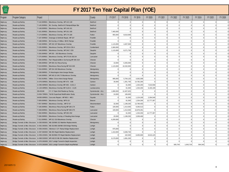| $\sqrt{PENMA}$<br>TURN<br>PIKE |                  |              |                                                                                        | FY 2017 Ten Year Capital Plan (YOE) |           |                |                |                |                |                |                |                |                |          |
|--------------------------------|------------------|--------------|----------------------------------------------------------------------------------------|-------------------------------------|-----------|----------------|----------------|----------------|----------------|----------------|----------------|----------------|----------------|----------|
| Program                        | Program Category | Project      |                                                                                        | County                              | FY 2017   | FY 2018        | FY 2019        | FY 2020        | FY 2021        | FY 2022        | FY 2023        | FY 2024        | FY 2025        | FY 2026  |
| Highw ay                       | Roadw ay/Safety  |              | T-142.00R001 Bituminous Overlay, MP 142-148                                            | Bedford                             | $\Omega$  | $\Omega$       | $\Omega$       | $\Omega$       | $\Omega$       | $\overline{0}$ | $\overline{0}$ | $\overline{0}$ | $\overline{0}$ |          |
| Highw ay                       | Roadw ay/Safety  |              | T-145.50R001 Bit. Overlay, Bedford IC Ramps & Slope Rpr                                | Bedford                             | $\Omega$  | $\Omega$       | $\Omega$       | $\Omega$       | $\Omega$       | $\overline{0}$ | $\Omega$       | $\Omega$       | $\overline{0}$ | $\Omega$ |
| <del>l</del> ighw ay           | Roadw ay/Safety  |              | T-148.00R001 Bituminous Overlay, MP 148-161                                            | Bedford                             | $\Omega$  | $\overline{0}$ | $\Omega$       | $\overline{0}$ | $\overline{0}$ | $\overline{0}$ | $\overline{0}$ | $\overline{0}$ | $\overline{0}$ | $\Omega$ |
| Highw ay                       | Roadw ay/Safety  |              | T-161.00R001 Bituminous Overlay, MP 161-166                                            | Bedford                             | 7,460,000 | $\overline{0}$ | $\overline{0}$ | 0              | $\overline{0}$ | $\overline{0}$ | $\overline{0}$ | $\Omega$       | $\overline{0}$ | $\Omega$ |
| <del>l</del> ighw ay           | Roadw ay/Safety  | T-174.00R001 | Bituminous Overlay, MP 174-180                                                         | Fulton                              | 955,000   | 8,610,000      | $\Omega$       | $\Omega$       | $\overline{0}$ | $\overline{0}$ | $\overline{0}$ | $\overline{0}$ | $\overline{0}$ | $\Omega$ |
| <del>l</del> ighw ay           | Roadw ay/Safety  |              | T-187.00R002 Drainage & Sinkhole Repair, MP 187                                        | Franklin                            | $\Omega$  | $\Omega$       | $\Omega$       | $\Omega$       | $\Omega$       | $\Omega$       | $\Omega$       | $\Omega$       | $\Omega$       | $\Omega$ |
| <b>lighw</b> ay                | Roadw ay/Safety  | T-188.59R001 | Bit Overlay of Willow Hill I/C Ramps                                                   | Franklin                            | $\Omega$  | $\Omega$       | $\Omega$       | $\Omega$       | $\Omega$       | $\Omega$       | $\Omega$       | $\Omega$       | $\overline{0}$ | $\Omega$ |
| <b>lighw</b> ay                | Roadw ay/Safety  |              | T-192.00R001 MP 192-197 Bituminous Overlay                                             | Franklin                            | 1,115,000 | 4.407.500      | $\Omega$       | $\Omega$       | $\Omega$       | $\overline{0}$ | $\overline{0}$ | $\Omega$       | $\overline{0}$ | $\Omega$ |
| Highw ay                       | Roadw ay/Safety  | T-235.00R001 | Bituminous Overlay, MP 235.8-236.4                                                     | Cumberland                          | 3,360,000 | $\Omega$       | $\Omega$       | $\Omega$       | $\Omega$       | $\Omega$       | $\Omega$       | $\Omega$       | $\Omega$       | $\Omega$ |
| Highw ay                       | Roadw ay/Safety  | T-248.00R001 | Bituminous Overlay, MP 246.7-255                                                       | Dauphin                             | 1,115,000 | 8,271,750      | $\Omega$       | $\circ$        | $\overline{0}$ | $\overline{0}$ | $\overline{0}$ | $\overline{0}$ | $\overline{0}$ | $\Omega$ |
| Highw ay                       | Roadw ay/Safety  |              | T-255.00R002 MP 255 - 263 Bituminous Overlay                                           | Dauphin                             | $\Omega$  | $\Omega$       | $\Omega$       | $\overline{0}$ | $\overline{0}$ | $\overline{0}$ | $\overline{0}$ | $\overline{0}$ | $\overline{0}$ | $\Omega$ |
| <b>lighw</b> ay                | Roadw ay/Safety  | T-275.00R001 | Bituminous Overlay, MP 275.00-282.04                                                   | Lancaster                           | $\Omega$  | $\Omega$       | $\Omega$       | $\Omega$       | $\Omega$       | $\Omega$       | $\Omega$       | $\Omega$       | $\Omega$       | $\Omega$ |
| <b>lighw</b> ay                | Roadw ay/Safety  |              | T-306.00R001 Pav't Repairs&Micro Surfacing, MP 306-319                                 | Chester                             | $\Omega$  | $\Omega$       | $\Omega$       | $\Omega$       | $\overline{0}$ | $\overline{0}$ | $\overline{0}$ | $\circ$        | $\overline{0}$ | $\Omega$ |
| Highw ay                       | Roadw ay/Safety  |              | T-306.00R002 MP 306-312 Resurfacing                                                    | Chester                             | 10,000    | 6.355.000      | $\Omega$       | $\Omega$       | $\Omega$       | $\Omega$       | $\Omega$       | $\Omega$       | $\Omega$       | $\Omega$ |
| <del>l</del> ighw ay           | Roadw ay/Safety  |              | T-319.00R001 Bituminous Resurfacing MP 319-326                                         | Chester                             | 1,115,000 | 10,332,000     | $\Omega$       | $\overline{0}$ | $\overline{0}$ | $\overline{0}$ | $\overline{0}$ | $\overline{0}$ | $\overline{0}$ | $\Omega$ |
| Highw ay                       | Roadw ay/Safety  |              | T-334.00R001 MP 334-340 Bituminous Overlay                                             | Montgomery                          | $\Omega$  | $\Omega$       | $\Omega$       | $\Omega$       | $\Omega$       | $\overline{0}$ | $\overline{0}$ | $\Omega$       | $\overline{0}$ | $\Omega$ |
| <b>lighw</b> ay                | Roadw ay/Safety  | T-338.58R001 | Ft Washington Interchange Ramps                                                        | Montgomery                          | $\Omega$  | $\Omega$       | $\Omega$       | $\Omega$       | $\Omega$       | $\Omega$       | $\Omega$       | $\Omega$       | $\Omega$       | $\Omega$ |
| <del>l</del> ighw ay           | Roadw ay/Safety  | T-340.00R001 | MP 340.10-345.75 Bituminous Overlay                                                    | Montgomery                          | $\Omega$  | $\Omega$       | $\Omega$       | $\circ$        | $\overline{0}$ | $\overline{0}$ | $\overline{0}$ | $\Omega$       | $\overline{0}$ | $\Omega$ |
| <del>l</del> ighw ay           | Roadw ay/Safety  |              | T-342.91R001 Willow Grove Interchange Ramps                                            | Montgomery                          | 995,000   | 5,704,125      | 4,302,309      | $\overline{0}$ | $\overline{0}$ | $\overline{0}$ | $\overline{0}$ | $\Omega$       | $\overline{0}$ | $\Omega$ |
| Highw ay                       | Roadw ay/Safety  |              | A-076.00R001 Bituminous Overlay MP A76 - A88                                           | Carbon                              | 30,000    | 1,301,750      | 14,782,294     | $\Omega$       | $\Omega$       | $\Omega$       | $\Omega$       | $\Omega$       | $\Omega$       | $\Omega$ |
| Highw ay                       | Roadw ay/Safety  |              | A-095.00R003 Bituminous Overlay MP A95 - A101.3                                        | Carbon                              | $\Omega$  | 61,500         | 1,334,294      | 7,010,558      | $\Omega$       | $\Omega$       | $\Omega$       | $\Omega$       | $\Omega$       | $\Omega$ |
| Highw ay                       | Roadw ay/Safety  |              | A-120.40R001 Bituminous Overlay MP A120.4 - A125                                       | Lackaw anna                         | $\Omega$  | 61,500         | 1.334.294      | 6.165.199      | $\overline{0}$ | $\overline{0}$ | $\overline{0}$ | $\circ$        | $\overline{0}$ | $\Omega$ |
| Highw ay                       | Roadw ay/Safety  | EN-00198     | CY 17 Open End Roadw ay Paving                                                         | Systemwide - ALL                    | 1.080.000 | 12.407.625     | $\Omega$       | $\Omega$       | $\Omega$       | $\overline{0}$ | $\overline{0}$ | $\Omega$       | $\overline{0}$ | $\Omega$ |
| <b>lighw</b> ay                | Roadw ay/Safety  |              | G-004.70R001 Toll 66 Superload Modification Study                                      | Systemwide - ALL                    | 24,000    | 106,600        | $\Omega$       | $\Omega$       | $\Omega$       | $\Omega$       | $\Omega$       | $\Omega$       | $\Omega$       | $\Omega$ |
| <b>lighw</b> ay                | Roadw ay/Safety  |              | M-000.00R001 Concrete Repairs MP M0.0 - M8.3                                           | Fayette                             | $\Omega$  | 61,500         | 1,124,169      | 2,304,546      | $\overline{0}$ | $\overline{0}$ | $\overline{0}$ | $\circ$        | $\overline{0}$ | $\Omega$ |
| Highw ay                       | Roadw ay/Safety  |              | T-009.00R001 Bituminous Overlay, MP 9-19                                               | Beaver                              | $\Omega$  | 61,500         | 1,334,294      | 12,777,307     | $\Omega$       | $\Omega$       | $\Omega$       | $\Omega$       | $\Omega$       | $\Omega$ |
| Highw ay                       | Roadw ay/Safety  |              | T-057.00R002 Bituminous Overlay, MP 57-67                                              | Westmoreland                        | 32,000    | 1,199,250      | 13,789,453     | $\Omega$       | $\Omega$       | $\Omega$       | $\Omega$       | $\Omega$       | $\Omega$       | $\Omega$ |
| Highw ay                       | Roadw ay/Safety  | T-166.00R001 | Bituminous Resurfacing MP 166-174                                                      | Fulton                              | 100,000   | 1,414,500      | 9,266,513      | $\Omega$       | $\Omega$       | $\overline{0}$ | $\overline{0}$ | $\Omega$       | $\overline{0}$ | $\Omega$ |
| <b>lighw</b> ay                | Roadw ay/Safety  | T-268.00R001 | Bituminous Resurfacing MP 268-275                                                      | Lancaster                           | 100,000   | 1,414,500      | 16,878,291     | $\Omega$       | $\Omega$       | $\Omega$       | $\Omega$       | $\Omega$       | $\Omega$       | $\Omega$ |
| <del>l</del> ighw ay           | Roadw ay/Safety  | T-282.00R001 | Bituminous Overlay, MP 282-292                                                         | Lancaster                           | $\Omega$  | 61,500         | 1,334,294      | 12,777,307     | $\overline{0}$ | $\overline{0}$ | $\overline{0}$ | $\overline{0}$ | $\overline{0}$ | $\Omega$ |
| Highw ay                       | Roadw ay/Safety  | T-286.09R001 | Bituminous Overlay of Reading Interchange                                              | Lancaster                           | 20,000    | 1,199,250      | 3,309,469      | $\Omega$       | $\Omega$       | $\Omega$       | $\Omega$       | $\Omega$       | $\Omega$       |          |
| Highw ay                       | Roadw ay/Safety  |              | T-312.00R001 MP 312-319 Bituminous Overlay                                             | Chester                             | 6,200,000 | $\Omega$       | $\Omega$       | $\Omega$       | $\Omega$       | $\Omega$       | $\Omega$       | $\Omega$       | $\Omega$       | $\Omega$ |
| Highw ay                       |                  |              | Bridge, Tunnels & Misc Structure A-030.90S001 NB-150/NB-152 Mainline Replacements      | Montgomery                          | $\Omega$  | $\overline{0}$ | $\Omega$       | $\Omega$       | $\Omega$       | $\overline{0}$ | $\overline{0}$ | $\Omega$       | $\overline{0}$ | $\Omega$ |
| Highw ay                       |                  |              | Bridge, Tunnels & Misc Structure A-052.30S001 NB-331/NB-336/NB-338 Bridge Painting     | Lehigh                              | $\Omega$  | $\overline{0}$ | $\Omega$       | $\Omega$       | $\overline{0}$ | $\overline{0}$ | $\overline{0}$ | $\overline{0}$ | $\overline{0}$ | $\Omega$ |
| Highw ay                       |                  |              | Bridge, Tunnels & Misc Structure A-056.04S001 Allentown S.P. Ramp Bridge Replacement   | Lehigh                              | 975,000   | $\Omega$       | $\Omega$       | $\Omega$       | $\Omega$       | $\Omega$       | $\Omega$       | $\Omega$       | $\Omega$       | $\Omega$ |
| <b>lighw</b> ay                |                  |              | Bridge, Tunnels & Misc Structure A-057.66S002 NB-355 Rapid Mainline Replacement        | Lehigh                              | 1,410,000 | 6,508,750      | $\Omega$       | $\Omega$       | $\Omega$       | $\Omega$       | $\Omega$       | $\Omega$       | $\overline{0}$ | $\Omega$ |
| lighw ay                       |                  |              | Bridge, Tunnels & Misc Structure A-059.22S001 NB-363/NB-376 Rapid Mainline Replacement | Lehigh                              | $\Omega$  | 102,500        | 8,405,000      | 8,615,125      | $\overline{0}$ | $\overline{0}$ | $\overline{0}$ | $\Omega$       | $\overline{0}$ | $\Omega$ |
| <del>l</del> ighw ay           |                  |              | Bridge, Tunnels & Misc Structure A-068.53S002 MP A68.53 NB-391 Mainline Replacement    | Lehigh                              | 9,170,000 | 1,691,250      | $\Omega$       | $\Omega$       | $\Omega$       | $\Omega$       | $\Omega$       | $\Omega$       | $\Omega$       | $\Omega$ |
| <b>lighw</b> ay                |                  |              | Bridge, Tunnels & Misc Structure A-070.26S005 2017 Lehigh Tunnel In-Depth Inspection   | Lehigh                              | $\Omega$  | $\Omega$       | $\Omega$       | $\Omega$       | $\Omega$       | $\Omega$       | $\Omega$       | $\Omega$       | $\overline{0}$ | $\Omega$ |
| lighw ay                       |                  |              | Bridge, Tunnels & Misc Structure A-070.26S006 2021 Lehigh Tunnel In-Depth Insp/Rehab   | Lehigh                              | $\Omega$  | $\Omega$       | $\Omega$       | $\Omega$       | $\Omega$       | 565,704        | 1,043,724      | 594,343        | $\overline{0}$ |          |
|                                |                  |              |                                                                                        |                                     |           |                |                |                |                |                |                |                |                |          |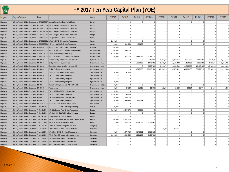

| FENNA /<br>TURN<br>PIKE |                                                                                         |         |                                                                                            | FY 2017 Ten Year Capital Plan (YOE) |                |                |                |                |                |                |                |                |                |            |
|-------------------------|-----------------------------------------------------------------------------------------|---------|--------------------------------------------------------------------------------------------|-------------------------------------|----------------|----------------|----------------|----------------|----------------|----------------|----------------|----------------|----------------|------------|
| Program                 | Program Category                                                                        | Project |                                                                                            | County                              | FY 2017        | FY 2018        | FY 2019        | FY 2020        | FY 2021        | FY 2022        | FY 2023        | FY 2024        | FY 2025        | FY 2026    |
| Highw ay                |                                                                                         |         | Bridge, Tunnels & Misc Structure A-070.26S007 Lehigh Tunnel Insulation Rehabilitation      | Lehigh                              | $\overline{0}$ | $\Omega$       | $\Omega$       | $\Omega$       | $\Omega$       | $\Omega$       | 0              | $\Omega$       | $\overline{0}$ |            |
| Highw ay                |                                                                                         |         | Bridge, Tunnels & Misc Structure A-070.26S008 2018 Lehigh Tunnel In-Depth Inspection       | Lehigh                              | $\overline{0}$ | $\overline{0}$ | $\Omega$       | $\Omega$       | $\Omega$       | $\Omega$       | $\overline{0}$ | $\Omega$       | $\overline{0}$ |            |
| Highw ay                |                                                                                         |         | Bridge, Tunnels & Misc Structure A-070.26S009 2020 Lehigh Tunnel In-Depth Inspection       | Lehigh                              | $\Omega$       | $\Omega$       | $\Omega$       | $\Omega$       | $\Omega$       | $\Omega$       | $\Omega$       | $\Omega$       | $\overline{0}$ |            |
| Highw ay                |                                                                                         |         | Bridge, Tunnels & Misc Structure A-070.26S010 2022 Lehigh Tunnel In-Depth Inspection       | Lehigh                              | $\Omega$       | $\overline{0}$ | $\Omega$       | $\Omega$       | $\Omega$       | $\Omega$       | 0              | $\overline{0}$ | $\circ$        |            |
| Highw ay                |                                                                                         |         | Bridge, Tunnels & Misc Structure A-070.26S011 2024 Lehigh Tunnel In-Depth Inspection       | Lehigh                              | $\Omega$       | $\overline{0}$ | $\Omega$       | $\Omega$       | $\Omega$       | $\Omega$       | $\overline{0}$ | $\overline{0}$ | $\circ$        | $\cap$     |
| Highw ay                |                                                                                         |         | Bridge, Tunnels & Misc Structure   A-074.27S001   Lehigh/Pohopoco Bridge Replacement       | Carbon                              | $\Omega$       | $\Omega$       | $\Omega$       | $\Omega$       | $\Omega$       | $\Omega$       | 0              | $\Omega$       | $\circ$        |            |
| Highw ay                |                                                                                         |         | Bridge, Tunnels & Misc Structure A-076.09S001 MP A76.09 NB-531 Mainline Replacement        | Carbon                              | 2.360,000      | $\overline{0}$ | $\Omega$       | $\Omega$       | $\Omega$       | $\Omega$       | $\overline{0}$ | $\Omega$       | $\overline{0}$ |            |
| Highw ay                |                                                                                         |         | Bridge, Tunnels & Misc Structure A-088.59S001 NB-610 Haw k Falls Bridge Replacement        | Carbon                              | 940.000        | 410,000        | 420.250        | $\Omega$       | $\Omega$       | $\Omega$       | $\Omega$       | $\Omega$       | $\overline{0}$ |            |
| Highw ay                |                                                                                         |         | Bridge, Tunnels & Misc Structure A-115.84S001 MP A115.84 NB-657 Bridge Elimination         | Luzerne                             | 1,430,000      | $\Omega$       | $\Omega$       | $\Omega$       | $\Omega$       | $\Omega$       | $\overline{0}$ | $\Omega$       | $\overline{0}$ |            |
| Highw ay                |                                                                                         |         | Bridge, Tunnels & Misc Structure A-120.68S001 MP A120.68 NB-709 Overhead Replacement       | Lackaw anna                         | 1,010,000      | 5,535,000      | $\Omega$       | $\Omega$       | $\Omega$       | $\Omega$       | 0              | $\circ$        | $\overline{0}$ |            |
| Highw ay                | Bridge, Tunnels & Misc Structure A-129.70S001 Clarks Summit Bridge Redecking            |         |                                                                                            | Lackaw anna                         | 5.165.000      | $\Omega$       | $\Omega$       | $\Omega$       | $\Omega$       | $\Omega$       | 0              | 0              | $\circ$        | $\Omega$   |
| Highw ay                |                                                                                         |         | Bridge, Tunnels & Misc Structure A-130.23S001 MP A130.23 NB-751 Mainline Replacement       | Lackaw anna                         | 270,000        | 2,255,000      | 5,568,313      | 2,261,470      |                |                | $\overline{0}$ | $\Omega$       | $\circ$        |            |
| Highw ay                | Bridge, Tunnels & Misc Structure EN-00050                                               |         | Biennial Bridge Inspection - Systemwide                                                    | Systemwide - ALL                    |                |                | $\overline{0}$ | 753,823        | 2,207,626      | 2,262,816      | 2,551,326      | 2,615,109      | 3,046,007      | 3,122,157  |
| Highw ay                | Bridge, Tunnels & Misc Structure EN-00051                                               |         | Bridge Painting - Systemwide                                                               | Systemwide - ALL                    | $\Omega$       | $\Omega$       | 1,050,625      | 1,076,891      | 1,103,813      | 1,131,408      | 1,159,693      | 1,188,686      | 1,827,604      | 2,497,726  |
| <b>Highw</b> ay         | Bridge, Tunnels & Misc Structure EN-00052                                               |         | Open-End Bridge Repairs - Systemwide                                                       | Systemwide - ALL                    | $\Omega$       | $\Omega$       | $\Omega$       | 3,553,739      | 8,609,741      | 9,956,392      | 10,205,302     | 10,460,435     | 10,721,945     | 10,989,994 |
| Highw ay                | Bridge, Tunnels & Misc Structure EN-00054                                               |         | Bridge Projects - Systemwide                                                               | Systemwide - ALL                    | $\overline{0}$ | 0              | 9,245,500      | 27,999,156     | 33,666,293     | 56,570,411     | 63,783,138     | 65,377,716     | 73,104,174     | 81,176,093 |
| Highw ay                | Bridge, Tunnels & Misc Structure EN-00112                                               |         | DRB - PA / NJTA Coordinated Project                                                        | Systemwide - ALL                    | 60,000         | 51,250         | $\Omega$       | $\Omega$       | $\Omega$       | $\Omega$       | $\Omega$       | $\Omega$       | $\Omega$       |            |
| Highw ay                | Bridge, Tunnels & Misc Structure EN-00136                                               |         | CY 13 Open End Bridge Repairs                                                              | Systemwide - ALL                    | $\Omega$       | $\Omega$       | $\Omega$       | $\overline{0}$ | $\Omega$       | $\overline{0}$ | 0              | 0              | $\circ$        | $\Omega$   |
| Highw ay                | Bridge, Tunnels & Misc Structure EN-00148                                               |         | CY 14 Open End Bridge Repairs                                                              | Systemwide - ALL                    | $\Omega$       | $\overline{0}$ | $\Omega$       | $\Omega$       | $\Omega$       | $\Omega$       | $\overline{0}$ | $\Omega$       | $\overline{0}$ |            |
| Highw ay                | Bridge, Tunnels & Misc Structure EN-00153                                               |         | CY 15 Open End Bridge Repairs                                                              | Systemwide - ALL                    | 220,000        | $\Omega$       | $\Omega$       | $\Omega$       | $\Omega$       | $\Omega$       | $\Omega$       | $\Omega$       | $\Omega$       | $\Omega$   |
| Highw ay                | Bridge.Tunnels & Misc Structure EN-00154                                                |         | Rapid Deck Replacement - MP A57-A130                                                       | Systemwide - NE Ext.                | 360,000        | $\Omega$       | $\Omega$       | $\Omega$       | $\Omega$       | $\Omega$       | 0              | 0              | $\circ$        |            |
| Highw ay                | Bridge, Tunnels & Misc Structure EN-00155                                               |         | Permit Loads                                                                               | Systemwide - ALL                    | 18,000         | 20,500         | 21.013         | 21.538         | 22.076         | 22.628         | 23.194         | 23,774         | 24.368         | 62,443     |
| Highw ay                | Bridge.Tunnels & Misc Structure EN-00158                                                |         | CY 14-15 Biennial Bridge Inspection                                                        | Systemwide - ALL                    | 50,000         | $\Omega$       | $\Omega$       | $\Omega$       | $\Omega$       | $\Omega$       | $\Omega$       | $\Omega$       | $\Omega$       |            |
| Highw ay                | Bridge, Tunnels & Misc Structure EN-00162                                               |         | CY 16 Open End Bridge Repairs                                                              | Systemwide - ALL                    | 3,240,000      | 2,203,750      | $\Omega$       | $\Omega$       | $\Omega$       | $\Omega$       | $\overline{0}$ | $\Omega$       | $\Omega$       | $\Omega$   |
| Highw ay                | Bridge, Tunnels & Misc Structure EN-00183                                               |         | CY 16-17 Biennial Bridge Inspection                                                        | Systemwide - ALL                    | 2,280,000      | 1.230.000      | $\Omega$       | $\Omega$       | $\Omega$       | $\Omega$       | $\overline{0}$ | $\Omega$       | $\Omega$       |            |
| Highw ay                | Bridge, Tunnels & Misc Structure EN-00184                                               |         | CY 17 Open End Bridge Repairs                                                              | Systemwide - ALL                    | 220.000        | 4,950,750      | 1,397,331      | $\Omega$       | $\Omega$       | $\Omega$       | $\overline{0}$ | $\Omega$       | $\overline{0}$ |            |
| Highw ay                |                                                                                         |         | Bridge, Tunnels & Misc Structure M-031.69S001 MF-237/MF-246 Mainline Bridge Rehab          | Washington                          | $\Omega$       | $\Omega$       | $\Omega$       | $\Omega$       | $\Omega$       | $\Omega$       | $\overline{0}$ | $\Omega$       | $\overline{0}$ |            |
| Highw ay                |                                                                                         |         | Bridge, Tunnels & Misc Structure T-009.47S001 BV-114/BV-112/WB-203 Bridge Painting         | Beaver                              | 55,000         | $\overline{0}$ | $\Omega$       | $\Omega$       | $\Omega$       | $\Omega$       | 0              | $\Omega$       | $\overline{0}$ |            |
| Highw ay                |                                                                                         |         | Bridge, Tunnels & Misc Structure T-013.21S001 WB-211 Beaver River Bridge Replacement       | Beaver                              | 6,649,500      | 2,290,875      | 420.250        | $\Omega$       | $\Omega$       | $\Omega$       | $\overline{0}$ | $\overline{0}$ | $\circ$        | $\Omega$   |
| Highw ay                |                                                                                         |         | Bridge, Tunnels & Misc Structure T-013.21S002 MP 13.21 WB-211 Mainline Deck Overlay        | Beaver                              | $\Omega$       | $\Omega$       | $\Omega$       | $\Omega$       | $\Omega$       | $\overline{0}$ | 0              | 0              | 0              |            |
| Highw ay                | Bridge, Tunnels & Misc Structure   T-020.47S001   Rehabilitation of Five SD Bridges     |         |                                                                                            | Beaver                              | $\Omega$       | $\Omega$       | $\Omega$       | $\Omega$       | $\Omega$       | $\Omega$       | $\overline{0}$ | $\Omega$       | $\overline{0}$ |            |
| Highw ay                |                                                                                         |         | Bridge,Tunnels & Misc Structure T-020.47S002 MP 20.47 WB-224B Mainline Bridge Replacement  | Beaver                              | 920,000        | 6,047,500      | $\Omega$       | $\Omega$       | $\Omega$       | $\Omega$       | $\overline{0}$ | $\Omega$       | $\overline{0}$ |            |
| Highw ay                |                                                                                         |         | Bridge, Tunnels & Misc Structure   T-028.01S002   MP 28.01 WB-308 Overhead Bridge          | <b>Butler</b>                       | 711,000        | 1,025,000      | 5,253,125      | 4,307,563      | $\Omega$       | $\overline{0}$ | 0              | $\Omega$       | $\overline{0}$ |            |
| Highw ay                |                                                                                         |         | Bridge, Tunnels & Misc Structure T-056.35S001 Rehab of Mainline Bridge No. WB-459          | Allegheny                           | $\circ$        | $\overline{0}$ | $\overline{0}$ | $\Omega$       | $\Omega$       | $\Omega$       | 0              | $\overline{0}$ | $\overline{0}$ |            |
| Highw ay                |                                                                                         |         | Bridge Tunnels & Misc Structure T-109.93S001 Rehabilitation of Bridge B-348 MP 109.93      | Somerset                            | $\Omega$       | $\Omega$       | $\Omega$       | $\Omega$       | 242.839        | 973.011        | $\overline{0}$ | $\Omega$       | 0              |            |
| Highw ay                |                                                                                         |         | Bridge, Tunnels & Misc Structure T-110.12S001 MP 110.12 B-502 Overhead Replacement         | Somerset                            | 360,000        | 1,670,750      | 6,776,531      | 2,315,315      | $\Omega$       | $\Omega$       | $\Omega$       | $\Omega$       | $\overline{0}$ |            |
| Highw ay                |                                                                                         |         | Bridge, Tunnels & Misc Structure   T-122.18S002   Allegh Tunnel Transportation Improvement | Somerset                            | 1,050,000      | 1,025,000      | 2,101,250      | 2,153,781      | $\Omega$       | $\Omega$       | $\overline{0}$ | $\Omega$       | $\Omega$       |            |
| Highw ay                |                                                                                         |         | Bridge, Tunnels & Misc Structure T-122.18S013 2018 Allegheny Tunnel In-Depth Inspect       | Somerset                            | $\Omega$       | $\Omega$       | $\Omega$       | $\Omega$       | $\Omega$       | $\Omega$       | $\overline{0}$ | $\Omega$       | $\overline{0}$ |            |
| Highw ay                |                                                                                         |         | Bridge, Tunnels & Misc Structure T-122.18S014 2022 Allegheny Tunnel In-Depth Inspect       | Somerset                            | $\Omega$       | $\Omega$       | $\Omega$       | $\Omega$       | $\Omega$       | $\circ$        | 0              | 0              | 0              |            |
| Highw ay                | Bridge, Tunnels & Misc Structure T-122.18S015 2021 Allegheny Tunnel In Depth Inspection |         |                                                                                            | Somerset                            | $\circ$        | 0              | $\circ$        | $\overline{0}$ | $\overline{0}$ | $\overline{0}$ | 0              | 0              | 0              |            |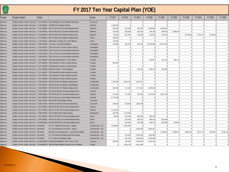| $\sqrt{PENMA}$<br><b>TURN</b><br>PIKE |                                                                               |          |                                                                                            | FY 2017 Ten Year Capital Plan (YOE) |                |                |                |            |                |                |                |                |                |           |
|---------------------------------------|-------------------------------------------------------------------------------|----------|--------------------------------------------------------------------------------------------|-------------------------------------|----------------|----------------|----------------|------------|----------------|----------------|----------------|----------------|----------------|-----------|
| Program                               | Program Category                                                              | Project  |                                                                                            | County                              | FY 2017        | FY 2018        | FY 2019        | FY 2020    | FY 2021        | FY 2022        | FY 2023        | FY 2024        | FY 2025        | FY 2026   |
| lighw ay                              |                                                                               |          | Bridge, Tunnels & Misc Structure T-122.18S016 2023 Allegheny Tunnel InDepth Inspection     | Somerset                            | $\Omega$       | $\overline{0}$ | $\Omega$       | $\Omega$   | $\Omega$       | $\Omega$       | $\overline{0}$ | $\Omega$       | $\Omega$       |           |
| Highw ay                              | Bridge, Tunnels & Misc Structure T-140.38S001 B-506/B-513A Bridge Painting    |          |                                                                                            | Bedford                             | 1,050,000      | $\overline{0}$ | $\overline{0}$ | $\Omega$   | $\Omega$       | $\Omega$       | $\Omega$       | $\Omega$       | $\Omega$       |           |
| Highw ay                              |                                                                               |          | Bridge, Tunnels & Misc Structure T-141.59S001 MP 141.59 B-507 Overhead Replacement         | Bedford                             | 300,000        | 512,500        | 420,250        | 1,399,958  | 4,360,061      | $\overline{0}$ | $\overline{0}$ | $\Omega$       | $\overline{0}$ |           |
| Highw ay                              |                                                                               |          | Bridge, Tunnels & Misc Structure T-144.85S001 MP 144.85 B-510 Overhead Replacement         | Bedford                             | 120,000        | 205,000        | 420,250        | 430,756    | 993,432        | 3,959,929      | $\overline{0}$ | $\Omega$       | $\overline{0}$ |           |
| Highw ay                              |                                                                               |          | Bridge, Tunnels & Misc Structure T-148.06S001 MP T148.06 B-140 Mainline Replacement        | Bedford                             | 30,000         | 307,500        | 735,438        | 753,823    | 331,144        | $\Omega$       | 3,479,080      | 4,754,743      | 1,218,403      | $\Omega$  |
| Highw ay                              |                                                                               |          | Bridge, Tunnels & Misc Structure T-172.88S002 MP 172.88 B-521A Mainline Replacement        | Fulton                              | 100,000        | $\overline{0}$ | $\Omega$       | $\Omega$   | $\Omega$       | $\Omega$       | $\Omega$       | $\Omega$       | $\Omega$       |           |
| lighw ay                              |                                                                               |          | Bridge, Tunnels & Misc Structure T-176.35S001 Elimination of Bridge No. B-554 Milepost     | Fulton                              | 755,000        | $\Omega$       | $\Omega$       | $\Omega$   | $\Omega$       | $\Omega$       | $\Omega$       | $\Omega$       | $\Omega$       |           |
| lighw ay                              | Bridge, Tunnels & Misc Structure T-186.20S004 Tuscarora Tunnel Rehabilitation |          |                                                                                            | Huntingdon                          | 700,000        | 102,500        | 525.313        | 10.768.906 | 16.557.193     | $\overline{0}$ | $\Omega$       | $\Omega$       | $\overline{0}$ |           |
| Highw ay                              |                                                                               |          | Bridge, Tunnels & Misc Structure T-186.20S007 2019 Tuscarora Tunnel In-Depth Inspect       | Huntingdon                          | $\Omega$       | $\Omega$       | $\Omega$       | $\Omega$   | $\Omega$       | $\Omega$       | $\Omega$       | $\Omega$       | $\Omega$       |           |
| lighw ay                              |                                                                               |          | Bridge, Tunnels & Misc Structure T-186.20S009 2019 Tuscarora Tunnel InDepth Inspection     | Huntingdon                          | $\Omega$       | $\Omega$       | $\Omega$       | $\Omega$   | $\Omega$       | $\overline{0}$ | $\overline{0}$ | $\overline{0}$ | $\overline{0}$ | $\Omega$  |
| Highw ay                              |                                                                               |          | Bridge, Tunnels & Misc Structure T-186.20S010 2021 Tuscarora Tunnel InDepth Inspection     | Huntingdon                          | $\Omega$       | $\overline{0}$ | $\Omega$       | $\Omega$   | $\Omega$       | $\overline{0}$ | $\overline{0}$ | $\overline{0}$ | $\overline{0}$ | $\Omega$  |
| lighw ay                              |                                                                               |          | Bridge, Tunnels & Misc Structure T-186.20S011 2023 Tuscarora Tunnel InDepth Inspection     | Huntingdon                          | $\Omega$       | $\Omega$       | $\Omega$       | $\Omega$   | $\Omega$       | $\Omega$       | $\Omega$       | $\Omega$       | $\Omega$       | $\Omega$  |
| lighw ay                              |                                                                               |          | Bridge, Tunnels & Misc Structure T-197.48S003 Blue Mountain/Kittatinny Tunnel Rehab        | Franklin                            | $\Omega$       | $\Omega$       | $\Omega$       | 323,067    | 331,144        | 565.704        | $\overline{0}$ | $\circ$        | $\overline{0}$ |           |
| Highw ay                              |                                                                               |          | Bridge, Tunnels & Misc Structure T-197.48S004 2016 Blue/Kitt Tunnels In-Depth Inspect.     | Franklin                            | 962.000        | $\Omega$       | $\Omega$       | $\Omega$   | $\Omega$       | $\Omega$       | $\Omega$       | $\Omega$       | $\Omega$       |           |
| Highw ay                              |                                                                               |          | Bridge, Tunnels & Misc Structure T-197.48S005 2020 Blue/Kitt Tunnels In-Depth Inspect      | Franklin                            | $\Omega$       | $\Omega$       | $\Omega$       | $\Omega$   | $\Omega$       | $\Omega$       | $\Omega$       | $\overline{0}$ | $\overline{0}$ | $\Omega$  |
| Highw ay                              |                                                                               |          | Bridge, Tunnels & Misc Structure T-197.48S006 Blue/Kitt Tunnels - Portal Upgrade           | Franklin                            | $\Omega$       | $\overline{0}$ | 210.125        | 430.756    | 551,906        | $\overline{0}$ | $\overline{0}$ | $\Omega$       | $\overline{0}$ |           |
| lighw ay                              |                                                                               |          | Bridge, Tunnels & Misc Structure T-197.48S007 2020 Blue/Kitt Tunnels InDepth Inspction     | Franklin                            | $\Omega$       | $\Omega$       | $\Omega$       | $\Omega$   | $\Omega$       | $\Omega$       | $\Omega$       | $\Omega$       | $\Omega$       | $\Omega$  |
| Highw ay                              |                                                                               |          | Bridge, Tunnels & Misc Structure T-197.48S008 2022 Blue/Kitt Tunnels InDepth Inspction     | Franklin                            | $\Omega$       | $\overline{0}$ | $\Omega$       | $\Omega$   | $\Omega$       | $\overline{0}$ | $\overline{0}$ | $\overline{0}$ | $\overline{0}$ | $\Omega$  |
| lighw ay                              |                                                                               |          | Bridge, Tunnels & Misc Structure T-197.48S009 2024 Blue/Kitt Tunnels InDepth Inspction     | Franklin                            | $\Omega$       | $\overline{0}$ | $\Omega$       | $\Omega$   | $\Omega$       | $\overline{0}$ | $\overline{0}$ | $\overline{0}$ | $\overline{0}$ | $\Omega$  |
| Highw ay                              |                                                                               |          | Bridge, Tunnels & Misc Structure T-228.54S001 MP 228.54 EB-103 Mainline Replacement        | Cumberland                          | 1,190,000      | 8,353,750      | 3,414,531      | $\Omega$   | $\Omega$       | $\Omega$       | $\Omega$       | $\Omega$       | $\Omega$       |           |
| Highw ay                              |                                                                               |          | Bridge, Tunnels & Misc Structure T-230.36S001 MP 230.36 EB-106 Mainline Rehabilitation     | Cumberland                          | $\Omega$       | $\Omega$       | $\Omega$       | $\Omega$   | $\Omega$       | $\Omega$       | $\Omega$       | $\Omega$       | $\Omega$       |           |
| Highw ay                              |                                                                               |          | Bridge, Tunnels & Misc Structure T-238.09S001 MP 238.09 EB-117 Mainline Replacement        | Cumberland                          | 360,000        | 717,500        | 4.727.813      | 4.846.008  | $\Omega$       | $\overline{0}$ | $\circ$        | $\overline{0}$ | $\overline{0}$ | $\Omega$  |
| Highw ay                              |                                                                               |          | Bridge, Tunnels & Misc Structure T-248.19S001 MP 248.19 EB-306 Overhead Replacement        | Dauphin                             | $\Omega$       | $\Omega$       | $\Omega$       | $\Omega$   | $\Omega$       | $\overline{0}$ | $\overline{0}$ | $\Omega$       | $\overline{0}$ |           |
| lighw ay                              |                                                                               |          | Bridge, Tunnels & Misc Structure T-250.09S001 MP 250.09 EB-311 Overhead Replacement        | Dauphin                             | 270,000        | 717,500        | 735,438        | 1,615,336  | 4,967,158      | $\Omega$       | $\Omega$       | $\Omega$       | $\Omega$       | $\Omega$  |
| lighw ay                              |                                                                               |          | Bridge, Tunnels & Misc Structure T-251.08S002 EB-314 Sw atara Creek Bridge Replacement     | Dauphin                             | 9.772.098      | $\Omega$       | $\Omega$       | $\Omega$   | $\Omega$       | $\overline{0}$ | $\circ$        | $\circ$        | $\overline{0}$ |           |
| Highw ay                              |                                                                               |          | Bridge, Tunnels & Misc Structure T-286.23S001 EB-541/EB-541B Bridge Painting               | Lancaster                           | $\Omega$       | $\Omega$       | $\Omega$       | $\Omega$   | $\Omega$       | $\Omega$       | $\Omega$       | $\Omega$       | $\Omega$       |           |
| Highw ay                              |                                                                               |          | Bridge, Tunnels & Misc Structure T-288.10S001 MP 288.10 EB-548 Overhead Redecking          | Lancaster                           | 240,000        | 553,500        | 1,681,000      | $\Omega$   | $\Omega$       | $\Omega$       | $\Omega$       | $\Omega$       | $\Omega$       | $\Omega$  |
| Highw ay                              |                                                                               |          | Bridge, Tunnels & Misc Structure T-316.58S001 MP 316.58 EB-729 Overhead Replacement        | Chester                             | $\Omega$       | $\Omega$       | $\Omega$       | $\Omega$   | $\Omega$       | $\overline{0}$ | $\circ$        | $\Omega$       | $\overline{0}$ |           |
| lighw ay                              |                                                                               |          | Bridge, Tunnels & Misc Structure T-317.37S001 MP 317.37 EB-730 Overhead Replacement        | Chester                             | 4,710,000      | $\Omega$       | $\Omega$       | $\Omega$   | $\Omega$       | $\Omega$       | $\Omega$       | $\Omega$       | $\Omega$       | $\Omega$  |
| Highw ay                              |                                                                               |          | Bridge, Tunnels & Misc Structure   T-338.92S002   DB-141/DB-163W Bridge Painting           | Montgomery                          | 440,000        | 1,742,500      | $\Omega$       | $\Omega$   | $\Omega$       | $\overline{0}$ | $\overline{0}$ | $\Omega$       | $\overline{0}$ | $\Omega$  |
| <b>lighw</b> ay                       |                                                                               |          | Bridge, Tunnels & Misc Structure T-347.60S001 MP 347.60 DB-207 Overhead Replacement        | <b>Bucks</b>                        | 50,000         | 615,000        | 945,563        | 646,134    | $\Omega$       | $\Omega$       | $\Omega$       | $\Omega$       | $\Omega$       |           |
| Highw ay                              |                                                                               |          | Bridge, Tunnels & Misc Structure T-348.25S001 MP 348.25 DB-210 Overhead Replacement        | <b>Bucks</b>                        | $\Omega$       | 307,500        | 630,375        | 969,202    | 662.288        | $\Omega$       | $\Omega$       | $\Omega$       | $\Omega$       |           |
| Highw ay                              |                                                                               |          | Bridge, Tunnels & Misc Structure T-349.38S001 MP 349.38 DB-213 Overhead Replacement        | <b>Bucks</b>                        | $\overline{0}$ | 102,500        | 315,188        | 646,134    | 662,288        | 678,845        | $\Omega$       | $\Omega$       | $\Omega$       |           |
| lighw ay                              | Bridge, Tunnels & Misc Structure EN-00195                                     |          | CY16-17 Biennial Tunnel Insp - Design                                                      | Systemwide - ALL                    | 2.400.000      | 2.562.500      | $\Omega$       | $\Omega$   | $\Omega$       | $\Omega$       | $\circ$        | $\Omega$       | $\overline{0}$ |           |
| Highw ay                              | Bridge, Tunnels & Misc Structure                                              | EN-00196 | CY 18-19 Biennial Tunnel Insp - Design                                                     | Systemwide - ALL                    | $\Omega$       | $\Omega$       | 2,626,563      | 2.692.227  | $\Omega$       | $\Omega$       | $\Omega$       | $\Omega$       | $\Omega$       | $\Omega$  |
| <b>lighw</b> ay                       | Bridge, Tunnels & Misc Structure                                              | EN-00197 | Biennial Tunnel Inspections - Systemwide-Design                                            | Systemwide - ALL                    | $\overline{0}$ | $\overline{0}$ | $\overline{0}$ | $\Omega$   | 2,759,532      | 2,828,521      | 2,899,234      | 2,971,714      | 3,046,007      | 3,122,157 |
| lighw ay                              | Bridge, Tunnels & Misc Structure                                              | EN-00199 | CY 18-19 Biennial Bridge Inspection-Design                                                 | Systemwide - ALL                    | $\circ$        | 512,500        | 2,395,425      | 1.292.269  | $\Omega$       | $\Omega$       | $\Omega$       | $\Omega$       | $\Omega$       |           |
| Highw ay                              | Bridge, Tunnels & Misc Structure                                              | EN-00200 | CY 18 Open End Bridge repairs                                                              | Systemwide - ALL                    | $\Omega$       | 481,750        | 5,043,000      | 1.399.958  | $\Omega$       | $\Omega$       | $\Omega$       | $\Omega$       | $\Omega$       | $\Omega$  |
| lighw ay                              |                                                                               |          | Bridge, Tunnels & Misc Structure A-099.00S001 Bridge Rehabilitations, MP A-99 to A-128     | Luzerne                             | 200,000        | 205,000        | 2,258,844      | 2,315,315  | $\overline{0}$ | $\overline{0}$ | $\Omega$       | $\Omega$       | $\overline{0}$ | $\Omega$  |
| lighw ay                              |                                                                               |          | Bridge, Tunnels & Misc Structure A-058.88S001 NB-360 Rapid Mainline Superstructure Replace | Lehigh                              | $\Omega$       | 1,383,750      | 6,041,094      | $\Omega$   | $\Omega$       | $\Omega$       | $\overline{0}$ | $\Omega$       | $\overline{0}$ |           |
|                                       |                                                                               |          |                                                                                            |                                     |                |                |                |            |                |                |                |                |                |           |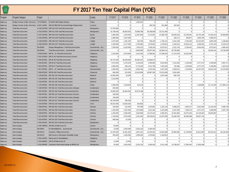| <b>TURN</b><br>PIKE |                                              |              |                                                                                        | FY 2017 Ten Year Capital Plan (YOE) |            |                |                |                |             |                |                |                |                |             |
|---------------------|----------------------------------------------|--------------|----------------------------------------------------------------------------------------|-------------------------------------|------------|----------------|----------------|----------------|-------------|----------------|----------------|----------------|----------------|-------------|
| Program             | Program Category                             | Project      |                                                                                        | <b>County</b>                       | FY 2017    | FY 2018        | FY 2019        | FY 2020        | FY 2021     | FY 2022        | FY 2023        | FY 2024        | FY 2025        | FY 2026     |
| Highw ay            | Bridge, Tunnels & Misc Structure T179.08S001 |              | B-404/B-485 Bridge Painting                                                            | Fulton                              | $\Omega$   | $\overline{0}$ | 1,365,813      | $\Omega$       | $\Omega$    | $\Omega$       | $\Omega$       | $\Omega$       | $\Omega$       |             |
| Highw ay            |                                              |              | Bridge, Tunnels & Misc Structure A105.11S001 NB-637/NB-638 Overhead Bridge Replacement | Luzerne                             | $\Omega$   | $\Omega$       | $\Omega$       | 430,756        | 551.906     | 452.563        | $\Omega$       | $\Omega$       | $\Omega$       |             |
| Highw ay            | <b>Total Reconstruction</b>                  |              | A-020.00T002 MP A20-A30 Total Reconstruction                                           | Montgomery                          | 74,750,000 | $\Omega$       | $\Omega$       | $\Omega$       | $\Omega$    | $\Omega$       | $\overline{0}$ | $\Omega$       | $\overline{0}$ | $\Omega$    |
| Highw ay            | <b>Total Reconstruction</b>                  |              | A-031.00T001 MP A31-A38 Total Reconstruction                                           | Montgomery                          | 10,748,500 | 38,550,353     | 76,968,788     | 46,198,608     | 33,721,484  | $\overline{0}$ | $\Omega$       | $\Omega$       | $\overline{0}$ | $\Omega$    |
| Highw ay            | <b>Total Reconstruction</b>                  | A-037.50T001 | MP A38-A44 Total Reconstruction                                                        | <b>Bucks</b>                        | 3,485,000  | 1,076,250      | 11,597,849     | 4,172,951      | 37,860,782  | 50,630,518     | 52,766,051     | 19,732,184     | 47,822,314     | 32,969,982  |
| Highw ay            | <b>Total Reconstruction</b>                  | A-044.00T001 | MP A44-A48 Total Reconstruction                                                        | Lehigh                              | 2,380,000  | 1,537,500      | $\Omega$       | $\Omega$       | $\Omega$    | 169,711        | 463,877        | 1,604,726      | 5,360,973      | $\Omega$    |
| Highw ay            | <b>Total Reconstruction</b>                  | A-048.00T001 | MP A48-A53 Total Reconstruction                                                        | Lehigh                              | 2.675.000  | 1.281.250      | 420.250        | 538.445        | 1,766,101   | 5,261,048      | 2,783,264      | 10.222.697     | 3.655.209      | 1,248,863   |
| Highw ay            | <b>Total Reconstruction</b>                  |              | A-053,00T001 MP A53-A57 Total Reconstruction                                           | Lehiah                              | 2.160.000  | 3.177.500      | 2.794.663      | 1.076.891      | 1.103.813   | 2.342.015      | 16.943.121     | 3.209.452      | 6.701.216      | 6.319.247   |
| Highw ay            | <b>Total Reconstruction</b>                  | EN-00040     | Design Management - Total Reconstructions                                              | Systemwide - ALL                    | 7,200,000  | 9,225,000      | 7,354,375      | 7,538,234      | 6,070,971   | 6,222,745      | 5,798,467      | 5,943,429      | 4,873,612      | 4,995,452   |
| Highw ay            | <b>Total Reconstruction</b>                  | EN-00048     | Total Reconstructions - Systemwide                                                     | Systemwide - ALL                    | $\Omega$   | $\Omega$       | 8,405,000      | 35,537,391     | 46,360,141  | 40.730.696     | $\Omega$       | $\Omega$       | 42.644.101     | 23.728.396  |
| Highw ay            | <b>Total Reconstruction</b>                  | T-028.45T001 | MP 28 - 31 Total Reconstruction                                                        | Allegheny                           | 2.310.000  | 3.075.000      | 2,101,250      | 17,089,931     | 37,536,813  | 17.272.078     | 10.516.564     | $\Omega$       | $\Omega$       |             |
| <b>lighw</b> ay     | <b>Total Reconstruction</b>                  | T-031.20T003 | MP 31-38 Total Reconstruction (Constr)                                                 | Allegheny                           | $\Omega$   | $\Omega$       | $\Omega$       | $\Omega$       | $\Omega$    | $\Omega$       | $\Omega$       | $\Omega$       | $\Omega$       | $\Omega$    |
| Highw ay            | <b>Total Reconstruction</b>                  |              | T-040.00T001 MP 40-48 Total Reconstruction                                             | Allegheny                           | 20,727,650 | 38,335,000     | 39,293,375     | 23,608,673     | $\Omega$    | $\Omega$       | $\Omega$       | $\Omega$       | $\Omega$       |             |
| Highw ay            | <b>Total Reconstruction</b>                  |              | T-049.00T001 MP 49-53 Total Reconstrcution                                             | Allegheny                           | 3,570,000  | 2,470,250      | 4,139,463      | 3,499,895      | 3,642,583   | 1,414,260      | 1,159,693      | 2,377,372      | 2,436,806      | 2,997,271   |
| Highw ay            | <b>Total Reconstruction</b>                  |              | T-053.00T001 MP 53-57 Total Reconstruction                                             | Allegheny                           | 4,950,000  | 948,125        | 5,778,438      | 2,013,785      | 7,042,326   | 791,986        | 1,159,693      | 2,377,372      | 2,436,806      | 1,623,522   |
| Highw ay            | <b>Total Reconstruction</b>                  | T-057.00T001 | MP 57 - 67 Total Reconstruction                                                        | Westmoreland                        | 3,300,000  | 4,151,250      | 6,482,356      | 1,615,336      | 2,207,626   | 2,828,521      | 7,219,092      | 44,337,979     | 43,643,192     | 31,970,892  |
| Highw ay            | <b>Total Reconstruction</b>                  | T-099.00T002 | MP 99-109 Total Reconstruction                                                         | Somerset                            | 560,000    | 512,500        | 15,023,938     | 63,967,303     | 73,513,939  | 3,281,084      | $\Omega$       | $\Omega$       | $\Omega$       |             |
| Highw ay            | <b>Total Reconstruction</b>                  | T-129.00T001 | MP 128-134 Total Reconstruction                                                        | Bedford                             | 10,002,000 | 10,250         | $\Omega$       | $\Omega$       | 2,207,626   | 565,704        | $\overline{0}$ | $\Omega$       | $\overline{0}$ | $\Omega$    |
| Highw ay            | <b>Total Reconstruction</b>                  | T-149.50T002 | MP 149-155 Total Reconstruction                                                        | Bedford                             | 2,210,000  | $\overline{0}$ | $\overline{0}$ | $\overline{0}$ | $\mathbf 0$ | 0              | $\overline{0}$ | $\overline{0}$ | $\overline{0}$ | $\Omega$    |
| Highw ay            | <b>Total Reconstruction</b>                  |              | T-155.00T001 MP 155-160 Total Reconstruction                                           | Bedford                             | $\Omega$   | $\Omega$       | $\Omega$       | $\Omega$       | $\Omega$    | $\Omega$       | $\Omega$       | $\Omega$       | $\Omega$       |             |
| Highw ay            | <b>Total Reconstruction</b>                  | T-179,50T001 | MP 180-186 Total Reconstruction                                                        | Fulton                              | 4.400.000  | 1.230.000      | 210.125        | $\Omega$       | $\Omega$    | $\Omega$       | $\Omega$       | 1,188,686      | 21,711,940     | 117.950.112 |
| Highw ay            | <b>Total Reconstruction</b>                  |              | T-199.00T002 MP 199-214 Total Reconstruction (Design)                                  | Cumberland                          | 265.000    | $\Omega$       | $\Omega$       | $\overline{0}$ | $\Omega$    | $\Omega$       | $\overline{0}$ | $\Omega$       | $\Omega$       |             |
| Highw ay            | <b>Total Reconstruction</b>                  | T-202.00T001 | MP 202-206 Total Reconstruction (Constr)                                               | Cumberland                          | 19,690,000 | 39.462.500     | 30.573.188     | $\Omega$       | $\Omega$    | $\Omega$       | $\Omega$       | $\Omega$       | $\Omega$       | $\Omega$    |
| <b>lighw</b> ay     | <b>Total Reconstruction</b>                  | T-206.00T001 | MP 206-210 Total Reconstruction (Constr)                                               | Cumberland                          | 330,000    | $\Omega$       | $\Omega$       | $\Omega$       | $\Omega$    | $\Omega$       | $\Omega$       | $\Omega$       | $\Omega$       | $\Omega$    |
| Highw ay            | <b>Total Reconstruction</b>                  |              | T-214.00T002 MP 214-227 Total Reconstruction (Design)                                  | Cumberland                          | 100,000    | $\Omega$       | $\Omega$       | $\overline{0}$ | $\Omega$    | $\Omega$       | $\overline{0}$ | $\Omega$       | $\overline{0}$ |             |
| Highw ay            | <b>Total Reconstruction</b>                  | T-220.00T001 | MP 220-227 Total Reconstruction (Constr)                                               | Cumberland                          | 39.730.000 | 256,250        | $\Omega$       | $\Omega$       | $\Omega$    | $\Omega$       | $\Omega$       | $\Omega$       | $\Omega$       | $\Omega$    |
| Highw ay            | <b>Total Reconstruction</b>                  |              | T-242.00T002 MP 242-245 Total Reconstruction                                           | York                                | 36,010,495 | 15,035,292     | 610.852        | $\Omega$       | $\Omega$    | $\Omega$       | $\Omega$       | $\Omega$       | $\Omega$       |             |
| Highw ay            | <b>Total Reconstruction</b>                  | T-298.00T001 | MP 298-302 Total Reconstrcution                                                        | Chester                             | 440,000    | 512,500        | 787,969        | 1,076,891      | 1,192,118   | 5,080,023      | 1,600,377      | 5,622,484      | 11,416,435     | 3,596,725   |
| Highw ay            | <b>Total Reconstruction</b>                  | T-302.00T001 | MP 302-308 Total Reconstruction                                                        | Chester                             | 1,320,000  | 1,537,500      | 1,575,938      | 1,911,481      | 2,191,069   | 6,347,200      | 7,294,472      | 2.377.372      | 2,436,806      | 2,497,726   |
| Highw ay            | <b>Total Reconstruction</b>                  | T-308.00T001 | MP 308-312 Total Reconstruction                                                        | Chester                             | 2,100,000  | 2,050,000      | 3,025,800      | 14,473,410     | 3,300,401   | 22,401,883     | 43,372,534     | 43,149,293     | 26,804,864     | $\Omega$    |
| Highw ay            | <b>Total Reconstruction</b>                  | T-312.00T003 | MP 312-320 Total Reconstruction                                                        | Chester                             | 1,750,000  | 3,075,000      | 2,101,250      | 28,429,913     | 14,570,330  | 51,648,785     | 36,356,389     | 35,957,744     | $\Omega$       |             |
| Highw ay            | <b>Total Reconstruction</b>                  |              | T-319.00T001 MP 320-326 Total Reconstruction                                           | Chester                             | 900,000    | 51,250         | $\Omega$       | $\Omega$       | $\Omega$    | $\Omega$       | $\Omega$       | $\Omega$       | $\Omega$       |             |
| Highw ay            | <b>Total Reconstruction</b>                  |              | T-326.20T001 MP 326-333 Total Reconstruction                                           | Montgomery                          | $\Omega$   | $\Omega$       | $\Omega$       | $\Omega$       | $\Omega$    | $\Omega$       | $\Omega$       | $\Omega$       | $\Omega$       |             |
| Highw ay            | Interchanges                                 |              | A-087.00P001 SR 903 All-Electronic VC                                                  | Carbon                              | 93,000     | $\Omega$       | $\Omega$       | $\Omega$       | $\Omega$    | $\Omega$       | $\Omega$       | $\Omega$       | $\overline{0}$ | $\Omega$    |
| Highw ay            | Interchanges                                 | EN-00061     | <b>VC Rehabilitations - Systemw ide</b>                                                | Systemwide - ALL                    | 12.000     | 2.562.500      | 5.253.125      | 5.384.453      | $\Omega$    | $\Omega$       | $\Omega$       | $\Omega$       | $\Omega$       |             |
| <b>lighw</b> ay     | Interchanges                                 | EN-00115     | <b>Cashless Tolling Conversion</b>                                                     | Systemwide - ALL                    | 21,970,000 | 16,461,500     | 4,507,181      | 10,230,461     | 14,934,588  | 25.682.966     | 41,748,963     | 61,811,659     | 90,161,814     | 93,140,200  |
| Highw ay            | Interchanges                                 | EN-00143     | Mid-County to Bensalem Feasibility Study                                               | Montgomery                          | 450,000    | 1,025,000      | 1,050,625      | 1,076,891      | 1,103,813   | $\Omega$       | $\Omega$       | $\Omega$       | $\Omega$       |             |
| Highw ay            | Interchanges                                 | T-056.44P001 | Pittsburgh VC Rehabilitation                                                           | Allegheny                           | $\Omega$   | $\Omega$       | $\Omega$       | $\Omega$       | $\Omega$    | $\Omega$       | $\Omega$       | $\Omega$       | $\Omega$       | $\Omega$    |
| Highw ay            | Interchanges                                 |              | T-319.30P001 SR 29 All-Electronic VC                                                   | Chester                             | 12,000     | 12,300         | $\Omega$       | $\Omega$       | n           | $\Omega$       | $\Omega$       | $\Omega$       | $\overline{0}$ | $\Omega$    |
| Highw ay            | Interchanges                                 |              | T-331.60P002 Lafayette Street Interchange at MP331.60                                  | Montgomery                          | 25,000     | 2.562.500      | 5.253.125      | 5.384.453      | 3.311.439   | 14,708,307     | 17,395,401     | 17,830,286     | $\overline{0}$ |             |
|                     |                                              |              |                                                                                        |                                     |            |                |                |                |             |                |                |                |                |             |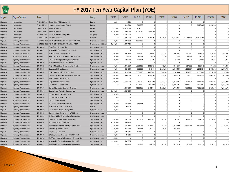| <b>PENNA</b> |
|--------------|
| TURN         |
| PIKE         |

| <b>TURN</b><br>PIKE |                              |              |                                                     | FY 2017 Ten Year Capital Plan (YOE) |                |                |                |                |                 |                |                |                |                |           |
|---------------------|------------------------------|--------------|-----------------------------------------------------|-------------------------------------|----------------|----------------|----------------|----------------|-----------------|----------------|----------------|----------------|----------------|-----------|
| Program             | Program Category             | Project      |                                                     | County                              | FY 2017        | FY 2018        | FY 2019        | FY 2020        | FY 2021         | FY 2022        | FY 2023        | FY 2024        | FY 2025        | FY 2026   |
| Highw ay            | Interchanges                 |              | T-351.90P001 Street Road All-Electronic VC          | <b>Bucks</b>                        | 2,000          | 2,050          | $\Omega$       | $\overline{0}$ | $\Omega$        | $\Omega$       | $\Omega$       | $\Omega$       | $\Omega$       |           |
| Highw ay            | Interchanges                 | T-353.05P001 | Neshaminy Westbound Ramps                           | <b>Bucks</b>                        | $\Omega$       | 820,000        | 840,500        | $\overline{0}$ | $\Omega$        | $\overline{0}$ | $\Omega$       | 8,320,800      | 1,218,403      | $\Omega$  |
| Highw ay            | Interchanges                 |              | T-355.00P001   I-95 VC - Stage 1                    | <b>Bucks</b>                        | 117,753,000    | 81,979,500     | 17,734,550     | $\circ$        | $\Omega$        | $\overline{0}$ | $\Omega$       | $\Omega$       | $\Omega$       | $\Omega$  |
| Highw ay            | Interchanges                 |              | T-355.00P002   I-95 VC - Stage 2                    | <b>Bucks</b>                        | 9,130,000      | 19,065,000     | 13,658,125     | 6,999,789      | $\circ$         | $\circ$        | $\overline{0}$ | $\overline{0}$ | $\overline{0}$ | $\Omega$  |
| Highw ay            | Interchanges                 |              | S-002.60P001 Findlay Cashless Tolling Point         | Allegheny                           | 660,000        | 5,125,000      | $\Omega$       | $\Omega$       | $\Omega$        | $\Omega$       | $\Omega$       | $\Omega$       | $\Omega$       | $\Omega$  |
| Highw ay            | Interchanges                 |              | A-115.70P001 Scranton Beltway                       | Luzerne                             | $\overline{0}$ | 1,025,000      | 1,050,625      | 5,384,453      | 5,519,064       | 56,570,411     | 57,984,671     | 59,434,288     | $\Omega$       | $\Omega$  |
| Highw ay            | <b>Highway Miscellaneous</b> |              | A-020.00M001 ITS DMS NORTHEAST - Pre-entry A20-A131 | Systemwide - NE Ext.                | 675,000        | 3,679,750      | 2,626,563      | $\Omega$       | $\Omega$        | $\Omega$       | $\Omega$       | $\Omega$       | $\Omega$       | $\Omega$  |
| Highw ay            | <b>Highway Miscellaneous</b> |              | A-042,00M001 ITS DMS NORTHEAST - MP A42 to A129     | Systemwide - NE Ext.                | 3,416,083      | 1,663,435      | $\Omega$       | $\overline{0}$ | $\Omega$        | $\overline{0}$ | $\Omega$       | $\Omega$       | $\Omega$       | $\Omega$  |
| Highw ay            | <b>Highway Miscellaneous</b> | EN-00026     | Rock Cuts - Systemwide                              | Systemwide - ALL                    | $\Omega$       | $\Omega$       | $\Omega$       | 0              | $\Omega$        | $\overline{0}$ | $\Omega$       | $\Omega$       | $\overline{0}$ | $\Omega$  |
| Highw ay            | <b>Highway Miscellaneous</b> | EN-00027     | Major Guide Sign Update/Replacement                 | Systemwide - ALL                    | $\Omega$       | $\Omega$       | $\Omega$       | $\overline{0}$ | $\Omega$        | $\Omega$       | $\Omega$       | $\Omega$       | $\overline{0}$ | $\Omega$  |
| Highw ay            | <b>Highway Miscellaneous</b> | EN-00031     | Traffic Studies - Systemwide                        | Systemwide - ALL                    | 870,000        | 891.750        | 882.525        | 387.681        | 397.373         | 407.307        | 417.490        | 427.927        | 438.625        | 449.591   |
| Highw ay            | <b>Highway Miscellaneous</b> | EN-00032     | Radio Tow er Access Roads - Systemwide              | Systemwide - ALL                    | 20,000         | 20,500         | 21,013         | 21,538         | 22,076          | 22,628         | 23,194         | 23,774         | 24,368         | 24,977    |
| Highw ay            | <b>Highway Miscellaneous</b> | EN-00037     | PADOT/Other Agency Project Coordination             | Systemwide - ALL                    | 130,000        | 133,250        | 136,581        | 32,307         | 33,114          | 33,942         | 34,791         | 35,661         | 36,552         | 37,466    |
| Highw ay            | <b>Highway Miscellaneous</b> | EN-00046     | Warranty Activities for D/B Projects                | Systemwide - ALL                    | $\Omega$       | $\Omega$       | $\Omega$       | $\Omega$       | $\Omega$        | $\Omega$       | $\Omega$       | $\Omega$       | $\Omega$       | $\Omega$  |
| Highw ay            | <b>Highway Miscellaneous</b> | EN-00062     | Project Man.&Const Documentation System             | Systemwide - ALL                    | 650,000        | 1,691,250      | 1,786,063      | 1,830,714      | 772,669         | 848,556        | 927,755        | 950,949        | 974,722        | 999,090   |
| Highw ay            | <b>Highway Miscellaneous</b> | EN-00063     | <b>Electronic Bidding System</b>                    | Systemwide - ALL                    | 920,000        | 820,000        | 882,525        | 947,664        | 1,026,546       | 1,097,466      | 1,182,887      | 1,271,894      | 1,303,691      | 1,373,749 |
| Highw ay            | <b>Highway Miscellaneous</b> | EN-00064     | Design/Construction Audit Services                  | Systemwide - ALL                    | 1,140,000      | 1,025,000      | 1,050,625      | 1,076,891      | 1,103,813       | 1,131,408      | 1,159,693      | 1,188,686      | 1,218,403      | 1,248,863 |
| Highw ay            | <b>Highway Miscellaneous</b> | EN-00092     | <b>Engineering Automation/Pavement Mngment</b>      | Systemwide - ALL                    | 1,920,000      | 1,988,500      | 1,512,900      | 1,389,189      | 1,313,537       | 1,346,376      | 1,380,035      | 1,414,536      | 1,449,899      | 1,611,033 |
| Highw ay            | <b>Highway Miscellaneous</b> | EN-00098     | Tree Clearing - Systemwide                          | Systemwide - ALL                    | 950,000        | $\mathbf 0$    | $\overline{0}$ | $\overline{0}$ | $\overline{0}$  | $\overline{0}$ | $\mathbf 0$    | $\Omega$       | $\Omega$       |           |
| Highw ay            | <b>Highway Miscellaneous</b> | EN-00103     | Project Collaboration System                        | Systemwide - ALL                    | 915,000        | 1,148,000      | 1,260,750      | 1,292,269      | 1,324,575       | 1,470,831      | 1,507,601      | 1,545,291      | 1,583,924      | 1,748,408 |
| Highw ay            | <b>Highway Miscellaneous</b> | EN-00104     | ITS Projects - Systemwide                           | Systemwide - ALL                    | $\Omega$       | $\Omega$       | 4,727,813      | 5,922,898      | 4,967,158       | 3,394,225      | 3,479,080      | 3,566,057      | 3,655,209      | 3,746,589 |
| Highw ay            | <b>Highway Miscellaneous</b> | EN-00107     | <b>General Consulting Engineer Services</b>         | Systemwide - ALL                    | $\Omega$       | 6,355,000      | 6,198,688      | 6,461,344      | 6.622.877       | 6.788.449      | 6,958,161      | 7,132,115      | 7,310,417      | 7,493,178 |
| Highw ay            | <b>Highway Miscellaneous</b> | EN-00124     | Geotechnical Projects - Systemwide                  | Systemwide - ALL                    | 3.558.400      | 1.025.000      | $\Omega$       | $\Omega$       | $\Omega$        | $\Omega$       | $\Omega$       | $\Omega$       | $\Omega$       | $\Omega$  |
| Highw ay            | <b>Highway Miscellaneous</b> | EN-00125     | ITS DMS EAST - MP 284 to 337                        | Systemwide - ALL                    | 110,996        | $\Omega$       | $\Omega$       | $\Omega$       | $0^{\parallel}$ | $\Omega$       | $\Omega$       | $\Omega$       | $\Omega$       | $\Omega$  |
| Highw ay            | <b>Highway Miscellaneous</b> | EN-00126     | ITS DMS WEST - MP 11 to 175                         | Systemwide - ALL                    | 57,546         | $\Omega$       | $\Omega$       | $\overline{0}$ | $\Omega$        | $\Omega$       | $\Omega$       | $\overline{0}$ | $\overline{0}$ | $\Omega$  |
| Highw ay            | <b>Highway Miscellaneous</b> | EN-00128     | <b>ITS CCTV Systemwide</b>                          | Systemwide - ALL                    | $\Omega$       | $\Omega$       | $\Omega$       | $\Omega$       | $\Omega$        | $\overline{0}$ | $\Omega$       | $\Omega$       | $\Omega$       | $\Omega$  |
| Highw ay            | <b>Highway Miscellaneous</b> | EN-00131     | PTC Traffic Flow Data Collection                    | Systemwide - ALL                    | 130,000        | 133,250        | 136,581        | $\Omega$       | $\Omega$        | $\Omega$       | $\Omega$       | $\Omega$       | $\Omega$       | $\Omega$  |
| Highw ay            | <b>Highway Miscellaneous</b> | EN-00132     | Traffic Count Data - MP 10 to 28                    | Beaver                              | 120,000        | 30,750         | $\Omega$       | $\mathbf{0}$   | $\overline{0}$  | $\mathbf{0}$   | $\overline{0}$ | $\mathbf{0}$   | $\overline{0}$ | $\Omega$  |
| Highw ay            | <b>Highway Miscellaneous</b> | EN-00133     | ITS System Softw are Intergration                   | Systemwide - ALL                    | 35,992         | $\Omega$       | $\Omega$       | $\Omega$       | $\Omega$        | $\overline{0}$ | $\Omega$       | $\Omega$       | $\Omega$       | $\Omega$  |
| Highw ay            | <b>Highway Miscellaneous</b> | EN-00139     | Sign Structure Replacement, MP 310-351              | Systemwide - ALL                    | $\Omega$       | $\overline{0}$ | 0              | 0              | $\Omega$        | $\overline{0}$ | $\Omega$       | $\Omega$       | $\overline{0}$ | $\Omega$  |
| Highw ay            | <b>Highway Miscellaneous</b> | EN-00141     | Drainage & Miscell Rdwy Rprs Systemwide             | Systemwide - ALL                    | $\Omega$       | $\Omega$       | $\Omega$       | $\Omega$       | $\Omega$        | $\overline{0}$ | $\Omega$       | $\Omega$       | $\Omega$       | $\Omega$  |
| Highw ay            | <b>Highway Miscellaneous</b> | EN-00144     | Systemw ide Transportation Planning                 | Systemwide - ALL                    | 260,000        | 102,500        | 787,969        | 1,076,891      | 1,103,813       | 282,852        | 115,969        | 891,514        | 1,218,403      | 1,248,863 |
| Highw ay            | <b>Highway Miscellaneous</b> | EN-00150     | Mon-Fayette Sign Upgrades                           | Systemwide - ALL                    | 4,730,000      | 563,750        | $\Omega$       | $\overline{0}$ | $\Omega$        | 0              | $\Omega$       | $\Omega$       | $\overline{0}$ | $\Omega$  |
| Highw ay            | <b>Highway Miscellaneous</b> | EN-00151     | Triple Drop Pavement Markings Systemwide            | Systemwide - ALL                    | 3,549,000      | 2,161,725      | 2,215,768      | 2,295,931      | 2.353.329       | 2,449,499      | 2,510,736      | 2.573.505      | 2,637,842      | 2,703,788 |
| Highw ay            | <b>Highway Miscellaneous</b> | EN-00156     | <b>Engineering Project Claims</b>                   | Systemwide - ALL                    | 2,200,000      | 256,250        | 262,656        | 269,223        | 275,953         | 282.852        | $\Omega$       | $\Omega$       | $\Omega$       | $\Omega$  |
| Highw ay            | <b>Highway Miscellaneous</b> | EN-00157     | <b>Engineering Monitoring</b>                       | Systemwide - ALL                    | 131,000        | 134,275        | 137,632        | $\Omega$       | $\Omega$        | $\Omega$       | $\Omega$       | $\Omega$       | $\Omega$       | $\Omega$  |
| Highw ay            | <b>Highway Miscellaneous</b> | EN-00159     | O/E Engineering Services---FY 2014-2016             | Systemwide - ALL                    | 500,000        | 25,625         | $\Omega$       | $\overline{0}$ | $\Omega$        | $\Omega$       | $\Omega$       | $\Omega$       | $\Omega$       | $\Omega$  |
| Highw ay            | <b>Highway Miscellaneous</b> | EN-00163     | BMP(Stormw ater) Maintenance - Systemwide           | Systemwide - ALL                    | 425.000        | $\Omega$       | $\Omega$       | $\Omega$       | $\Omega$        | $\Omega$       | $\Omega$       | $\Omega$       | $\Omega$       | $\Omega$  |
| Highw ay            | <b>Highway Miscellaneous</b> | EN-00164     | Major Guide Sign Replacement - FY 15-17             | Systemwide - ALL                    | 1,270,000      | 507,375        | $\Omega$       | $\Omega$       | $\Omega$        | $\Omega$       | $\Omega$       | $\Omega$       | $\Omega$       | $\Omega$  |
| Highw ay            | <b>Highway Miscellaneous</b> | EN-00165     | Major Guide Sign Replacement Systemwide             | Systemwide - ALL                    | $\overline{0}$ | 543.250        | 577.844        | 592.290        | 607,097         | 622.275        | 637,831        | 653.777        | 670,122        | 686,875   |
|                     |                              |              |                                                     |                                     |                |                |                |                |                 |                |                |                |                |           |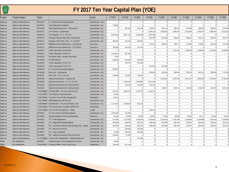| $\sqrt{PENMA}$<br><b>TURN</b><br>PIKE |                              |              |                                                              | FY 2017 Ten Year Capital Plan (YOE) |           |           |                |             |                |           |                |           |                |           |
|---------------------------------------|------------------------------|--------------|--------------------------------------------------------------|-------------------------------------|-----------|-----------|----------------|-------------|----------------|-----------|----------------|-----------|----------------|-----------|
| Program                               | Program Category             | Project      |                                                              | County                              | FY 2017   | FY 2018   | FY 2019        | FY 2020     | FY 2021        | FY 2022   | FY 2023        | FY 2024   | FY 2025        | FY 2026   |
| Highw ay                              | Highw ay Miscellaneous       | EN-00166     | FY 15 General Consulting Engineer                            | Systemwide - ALL                    | $\Omega$  | $\Omega$  | $\overline{0}$ | $\Omega$    | $\overline{0}$ | $\Omega$  | $\overline{0}$ | $\Omega$  | $\overline{0}$ | $\Omega$  |
| Highw ay                              | Highw ay Miscellaneous       | EN-00167     | <b>Tenth Milemarker Installation</b>                         | Systemwide - ALL                    | 739,500   | $\Omega$  | $\Omega$       | $\Omega$    | $\Omega$       | $\Omega$  | $\Omega$       | $\Omega$  | $\Omega$       | $\Omega$  |
| Highw ay                              | Highw ay Miscellaneous       | EN-00168     | O/E Engineering Services - Systemwide                        | Systemwide - ALL                    | $\Omega$  | 307,500   | 315,188        | 323,067     | 331,144        | 339,422   | 347,908        | 356,606   | 365,521        | 374,659   |
| Highw ay                              | <b>Highway Miscellaneous</b> | EN-00171     | Tree Clearing - Systemwide                                   | Systemwide - ALL                    | $\Omega$  | $\Omega$  | $\Omega$       | 1,206,118   | 1,346,652      | 1,380,318 | 1,414,826      | 1,450,197 | 1,486,452      | 1,523,613 |
| lighw ay                              | <b>Highway Miscellaneous</b> | EN-00172     | Tree Clearing - FY 17, 18, & 19                              | Systemwide - ALL                    | 5,872,800 | 3,967,703 | 2,332,388      | 1,184,580   | $\Omega$       | $\Omega$  | $\Omega$       | $\Omega$  | $\Omega$       | $\Omega$  |
| Highw ay                              | <b>Highway Miscellaneous</b> | EN-00173     | Drainage & Miscell Rdwy Rprs Systemwide                      | Systemwide - ALL                    | $\Omega$  | $\Omega$  | $\Omega$       | 312,298     | 320,106        | 328,108   | 336,311        | 344,719   | 353,337        | 362,170   |
| Highw ay                              | <b>Highway Miscellaneous</b> | EN-00174     | Drainage & Misc Rdw y Rprs - FY 17/18/19                     | Systemwide - ALL                    | 290,000   | 297.250   | 304.681        | $\Omega$    | $\Omega$       | $\Omega$  | $\Omega$       | $\Omega$  | $\Omega$       | $\Omega$  |
| Highw ay                              | <b>Highway Miscellaneous</b> | EN-00175     | BMP(Stormw ater) Maintenance - Systemwide                    | Law rence                           | $\Omega$  | $\Omega$  | $\Omega$       | 161.534     | 165,572        | 169.711   | 173,954        | 178,303   | 182.760        | 187.329   |
| Highw ay                              | <b>Highway Miscellaneous</b> | EN-00176     | BMP(Stormw ater) Maintenance - FY17/18/19                    | Law rence                           | 150,000   | 153,750   | 157,594        | $\Omega$    | $\Omega$       | $\Omega$  | $\Omega$       | $\Omega$  | $\Omega$       | $\Omega$  |
| Highw ay                              | <b>Highway Miscellaneous</b> | EN-00177     | <b>Traffic Operations Systemwide</b>                         | Systemwide - ALL                    | $\Omega$  | $\Omega$  | $\Omega$       | $\Omega$    | $\Omega$       | 1,131,408 | 1,159,693      | 1,188,686 | 1,218,403      | 1,248,863 |
| Highw ay                              | <b>Highway Miscellaneous</b> | EN-00178     | Traffic Operations FY16-FY17                                 | Systemwide - ALL                    | 1.319.624 | 307.500   | $\Omega$       | $\Omega$    | $\Omega$       | $\Omega$  | $\Omega$       | $\Omega$  | $\Omega$       | $\Omega$  |
| lighw ay                              | <b>Highway Miscellaneous</b> | EN-00179     | ITS Needs Study - Western Extensions                         | Systemwide - ALL                    | 4,031     | $\Omega$  | $\Omega$       | $\Omega$    | $\Omega$       | $\Omega$  | $\Omega$       | $\Omega$  | $\Omega$       | $\Omega$  |
| Highw ay                              | <b>Highway Miscellaneous</b> | EN-00180     | <b>ITS Pilot Projects</b>                                    | Systemwide - ALL                    | 250,000   | 256,250   | 262,656        | $\Omega$    | $\Omega$       | $\Omega$  | $\Omega$       | $\Omega$  | $\overline{0}$ | $\Omega$  |
| Highw ay                              | <b>Highway Miscellaneous</b> | EN-00181     | Traffic Operations FY18-FY19                                 | Systemwide - ALL                    | $\Omega$  | 768,750   | 787.969        | $\Omega$    | $\Omega$       | $\Omega$  | $\Omega$       | $\Omega$  | $\overline{0}$ | $\Omega$  |
| Highw ay                              | <b>Highway Miscellaneous</b> | EN-00182     | Traffic Operations FY20-FY21                                 | Systemwide - ALL                    | $\Omega$  | $\Omega$  | $\Omega$       | 807,668     | 827,860        | $\Omega$  | $\overline{0}$ | $\Omega$  | $\overline{0}$ | $\Omega$  |
| Highw ay                              | <b>Highway Miscellaneous</b> | EN-00185     | FY 16 General Consulting Engineer                            | Systemwide - ALL                    | 500,000   | $\Omega$  | $\Omega$       | $\Omega$    | $\Omega$       | $\Omega$  | $\overline{0}$ | $\Omega$  | $\overline{0}$ | $\Omega$  |
| lighw ay                              | <b>Highway Miscellaneous</b> | EN-00186     | Rock Cuts - Systemwide                                       | Systemwide - ALL                    | $\Omega$  | $\Omega$  | $\Omega$       | 236,916     | 242,839        | 248,910   | 255,133        | 261,511   | 268,049        | 274,750   |
| Highw ay                              | <b>Highway Miscellaneous</b> | EN-00187     | Rock Cuts - FY 17, 18, & 19                                  | Systemwide - ALL                    | 130,000   | 133,250   | 136,581        | $\Omega$    | $\Omega$       | $\Omega$  | $\Omega$       | $\Omega$  | $\Omega$       | $\Omega$  |
| Highw ay                              | <b>Highway Miscellaneous</b> | EN-00188     | Geotechnical Projects - Systemwide                           | Systemwide - ALL                    | $\Omega$  | $\Omega$  | $\overline{0}$ | $\mathbf 0$ | 1,549,091      | 1,587,818 | 1,627,514      | 1,668,202 | 1,709,907      | 1,752,654 |
| Highw ay                              | <b>Highway Miscellaneous</b> | EN-00189     | Geotechnical Projects - FY 18, 19, & 20                      | Systemwide - ALL                    | $\Omega$  | 1,402,610 | 2,209,885      | 1,511,308   | $\Omega$       | $\Omega$  | $\Omega$       | $\Omega$  | $\Omega$       | $\Omega$  |
| Highw ay                              | <b>Highway Miscellaneous</b> | EN-00193     | Engineering Systemw ide Training 2016-20                     | Systemwide - ALL                    | $\Omega$  | 128,125   | 131,328        | 134,611     | $\Omega$       | $\Omega$  | $\Omega$       | $\Omega$  | $\Omega$       | $\Omega$  |
| Highw ay                              | <b>Highway Miscellaneous</b> | EN-00194     | Engineering Systemw ide Training Lineltem                    | Systemwide - ALL                    | $\Omega$  | $\Omega$  | $\Omega$       | $\Omega$    | 165,572        | 169.711   | 173.954        | 178,303   | 182.760        | 187,329   |
| Highw ay                              | <b>Highway Miscellaneous</b> |              | T-010.00M001 ITS DMS WEST - Pre-entry MP 10 to 201           | Systemwide - ALL                    | 676.432   | 3.664.375 | 3.151.875      | 2.153.781   | Ωl             | $\Omega$  | $\Omega$       | $\Omega$  | $\Omega$       | $\Omega$  |
| lighw ay                              | <b>Highway Miscellaneous</b> |              | T-161.50M001 Truck Rollover Warning System                   | Systemwide - ALL                    | 15,952    | $\Omega$  | $\Omega$       | $\Omega$    | $\Omega$       | $\Omega$  | $\Omega$       | $\Omega$  | $\Omega$       | $\Omega$  |
| Highw ay                              | <b>Highway Miscellaneous</b> |              | T-186.20M001 Tuscarora Tunnel Traffic Management             | Huntingdon                          | 62,674    | $\Omega$  | $\Omega$       | $\Omega$    | $\Omega$       | $\Omega$  | $\Omega$       | $\Omega$  | $\overline{0}$ | $\Omega$  |
| Highw ay                              | <b>Highway Miscellaneous</b> |              | T-201.00M001 RWIS Deployment, MP 201-293                     | Systemwide - ALL                    | $\Omega$  | $\Omega$  | $\Omega$       | $\Omega$    | $\Omega$       | $\Omega$  | $\Omega$       | $\Omega$  | $\Omega$       | $\Omega$  |
| Highw ay                              | <b>Highway Miscellaneous</b> |              | T-286.00M001 ITS DMS EAST - Pre-entry MP 286 to 343          | Systemwide - ALL                    | 1,477,223 | 2,533,639 | 551,578        | $\Omega$    | $\Omega$       | $\Omega$  | $\Omega$       | $\Omega$  | $\overline{0}$ | $\Omega$  |
| Highw ay                              | <b>Highway Miscellaneous</b> |              | T-330.00M001 ITS Communication Installation MP330-332        | Montgomery                          | $\Omega$  | $\Omega$  | $\Omega$       | $\Omega$    | $\Omega$       | $\Omega$  | $\Omega$       | $\Omega$  | $\overline{0}$ | $\Omega$  |
| lighw ay                              | Highw ay Miscellaneous       |              | A-070.26M001 Tunnel Traffic Management - Lehigh              | Lehigh                              | $\Omega$  | $\Omega$  | $\Omega$       | 538.445     | $\Omega$       | $\Omega$  | $\Omega$       | $\Omega$  | $\overline{0}$ | $\Omega$  |
| Highw ay                              | <b>Highway Miscellaneous</b> | EN-00201     | FY 2017 General Consulting Engineer                          | Systemwide - ALL                    | 5,000,000 | 512,500   | $\overline{0}$ | $\Omega$    | $\Omega$       | $\Omega$  | $\overline{0}$ | $\Omega$  | $\overline{0}$ | $\Omega$  |
| Highw ay                              | <b>Highway Miscellaneous</b> | EN-00202     | Somerset Material Testing Lab Equipment                      | Somerset                            | 25,000    | 25,625    | 26,266         | 26,922      | 27,595         | 28,285    | 28,992         | 29,717    | 30,460         | 31,222    |
| Highw ay                              | <b>Highway Miscellaneous</b> | EN-00203     | TO - ATMS Deployment                                         | Systemwide - ALL                    | 224,000   | 2,716,250 | 2,258,844      | 1,076,891   | 1,103,813      | 1,131,408 | 1,159,693      | 1,188,686 | 1,218,403      | 1,248,863 |
| Highw ay                              | <b>Highway Miscellaneous</b> | EN-00204     | TO - Regional IM Training/Initiatives                        | Systemwide - ALL                    | 405,000   | 609,875   | 525,313        | 538,445     | 551,906        | 565,704   | 579,847        | 594,343   | 609,201        | 624,431   |
| Highw ay                              | <b>Highway Miscellaneous</b> | EN-00205     | ITS - Connected Vehicles/ Fleet Strategic Plan - Design      | Systemwide - ALL                    | 150,000   | 230.625   | 525.313        | 538.445     | 551.906        | 565,704   | 579.847        | 594.343   | 609.201        | 624,431   |
| Highw ay                              | <b>Highway Miscellaneous</b> | EN-00206     | <b>ITS - Western Extensions</b>                              | Systemwide - ALL                    | $\Omega$  | 256,250   | 262.656        | $\Omega$    | $\Omega$       | $\Omega$  | $\Omega$       | $\Omega$  | $\Omega$       | $\Omega$  |
| lighw ay                              | <b>Highway Miscellaneous</b> | EN-00207     | ITS - Gaps & Upgrades                                        | Systemwide - ALL                    | 75,000    | 256,250   | 262,656        | $\Omega$    | $\Omega$       | $\Omega$  | $\Omega$       | $\Omega$  | $\Omega$       | $\Omega$  |
| Highw ay                              | <b>Highway Miscellaneous</b> | EN-00208     | WZ - Regional Connected Smart Work Zone                      | Systemwide - ALL                    | 200,000   | 51,250    | $\Omega$       | $\Omega$    | $\overline{0}$ | $\Omega$  | $\overline{0}$ | $\Omega$  | $\overline{0}$ | $\Omega$  |
| Highw ay                              | <b>Highway Miscellaneous</b> |              | T-122.18M001 Tunnel Traffic Management - Allegheny/Blue-Kit) | Systemwide - ALL                    | $\Omega$  | $\Omega$  | 787,969        | $\Omega$    | $\Omega$       | $\Omega$  | $\Omega$       | $\Omega$  | $\overline{0}$ | $\Omega$  |
| <b>FEMO</b>                           | Re-capitalization            | EN-00017     | Communications Tow ers Replacement Variou                    | Systemwide - ALL                    | 40,000    | $\Omega$  | $\Omega$       | $\Omega$    | $\overline{0}$ | $\Omega$  | $\overline{0}$ | $\Omega$  | $\overline{0}$ | $\Omega$  |
| <b>FEMO</b>                           | Re-capitalization            | T-343,00F001 | Construct Willow Grove Comm Tow er                           | Montgomery                          | 255,000   | 251,125   | $\Omega$       | $\Omega$    | $\Omega$       | $\Omega$  | $\overline{0}$ | $\Omega$  | $\overline{0}$ | $\Omega$  |
|                                       |                              |              |                                                              |                                     |           |           |                |             |                |           |                |           |                |           |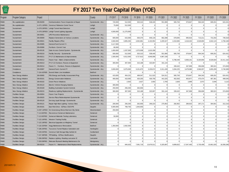| $\sqrt{\frac{1}{1}}$<br><b>TURN</b><br>PIKE |                          |              |                                                      | FY 2017 Ten Year Capital Plan (YOE) |              |            |                |                |                |                |                |                |                |            |
|---------------------------------------------|--------------------------|--------------|------------------------------------------------------|-------------------------------------|--------------|------------|----------------|----------------|----------------|----------------|----------------|----------------|----------------|------------|
| Program                                     | Program Category         | Project      |                                                      | County                              | FY 2017      | FY 2018    | FY 2019        | FY 2020        | FY 2021        | FY 2022        | FY 2023        | FY 2024        | FY 2025        | FY 2026    |
| <b>FEMO</b>                                 | Re-capitalization        | EN-00209     | Communications Tow er Inspection & Repair            | Systemwide - ALL                    | 720,000      | 512,500    | 525,313        | 538,445        | 551,906        | 565,704        | 579,847        | 594,343        | 609,201        | 624,431    |
| <b>FEMO</b>                                 | Re-capitalization        |              | A-071.10F001 Construct Palmerton Comm Tow er         | Lehigh                              | 75,000       | 512,500    | $\Omega$       | $\Omega$       | $\Omega$       | $\Omega$       | $\Omega$       | $\Omega$       | $\Omega$       | $\Omega$   |
| <b>FEMO</b>                                 | Sustainment              |              | A-070.26F001 Lehigh Tunnel Heat Detectors            | Lehigh                              | O            | $\Omega$   | $\Omega$       | $\Omega$       | $\Omega$       | $\Omega$       | $\Omega$       | $\Omega$       | $\overline{0}$ | $\Omega$   |
| <b>FEMO</b>                                 | Sustainment              | A-070.26F003 | Lehigh Tunnel Lighting Upgrades                      | Lehigh                              | 4,500,000    | 11,275,000 | $\overline{0}$ | $\overline{0}$ | $\Omega$       | $\overline{0}$ | $\overline{0}$ | $\overline{0}$ | $\overline{0}$ | $\Omega$   |
| <b>FEMO</b>                                 | Sustainment              | EN-00001     | <b>UPS Preventive Maintenance</b>                    | Systemwide - ALL                    | $\Omega$     | $\Omega$   | $\Omega$       | $\Omega$       | $\Omega$       | $\Omega$       | $\Omega$       | $\Omega$       | $\Omega$       | $\Omega$   |
| <b>FEMO</b>                                 | Sustainment              | EN-00009     | Replace Generators at Various Locations              | Systemwide - ALL                    | 600,000      | 615,000    | 630,375        | 646,134        | 662,288        | 678,845        | 695,816        | 713,211        | 731,042        | 749,318    |
| <b>FEMO</b>                                 | Sustainment              | EN-00021     | Facility Repairs (POs)                               | Systemwide - ALL                    | 3.560.000    | 3.905.250  | 4.002.881      | 4.102.953      | 4.205.527      | 4,310,665      | 4,418,432      | 4.528.893      | 4.642.115      | 4,758,168  |
| <b>FEMO</b>                                 | Sustainment              | EN-00085     | General Fund Current Yr                              | Systemwide - ALL                    | 3.117.000    | $\Omega$   | $\Omega$       | $\Omega$       | $\Omega$       | $\Omega$       | $\Omega$       | $\Omega$       | $\Omega$       | $\Omega$   |
| <b>FEMO</b>                                 | Sustainment              | EN-00086     | Furniture--Current Year                              | Systemwide - ALL                    | 80,000       | $\Omega$   | $\Omega$       | $\Omega$       | $\Omega$       | $\Omega$       | $\Omega$       | $\Omega$       | $\Omega$       | $\Omega$   |
| <b>FEMO</b>                                 | Sustainment              | EN-00135     | Gate Access Control System - Systemwide              | Systemwide - ALL                    | 1,650,000    | 1,537,500  | 1,575,938      | 1,615,336      | 0 <sup>1</sup> | $\Omega$       | $\Omega$       | $\Omega$       | $\Omega$       |            |
| <b>FEMO</b>                                 | Sustainment              | EN-00210     | Facility Security - Systemwide                       | Systemwide - ALL                    | 500,000      | 512,500    | 525.313        | 538.445        | 551.906        | 565.704        | 579,847        | 594.343        | 609,201        | 624,431    |
| <b>FEMO</b>                                 | Sustainment              | EN-00211     | FY17-21 Maintenance & Improvements                   | Systemwide - ALL                    | 1,500,000    | 4,612,500  | 4,727,813      | 4,846,008      | 4,967,158      | $\Omega$       | $\Omega$       | $\Omega$       | $\Omega$       | $\Omega$   |
| <b>FEMO</b>                                 | Sustainment              | EN-00212     | Future Year - Maint. & Improvements                  | Systemwide - ALL                    | $\Omega$     | $\Omega$   | $\Omega$       | $\Omega$       | $\Omega$       | 6,788,449      | 6,958,161      | 8,320,800      | 8,528,820      | 10,411,162 |
| <b>FEMO</b>                                 | Sustainment              | EN-00213     | FY17-21 Furniture, Fixtures & Equipment              | Systemwide - ALL                    | 300,000      | 307,500    | 315,188        | 323,067        | 331,144        | $\Omega$       | $\Omega$       | $\Omega$       | $\Omega$       | $\Omega$   |
| <b>FEMO</b>                                 | Sustainment              | EN-00214     | Future Yr. - Furniture, Fixtures & Equipment         | Systemwide - ALL                    | $\Omega$     | $\Omega$   | $\Omega$       | $\Omega$       | $\Omega$       | 339,422        | 347,908        | 356,606        | 365,521        | 374,659    |
| <b>FEMO</b>                                 | Compliance               | EN-00087     | General Fund--Current FY                             | Systemwide - ALL                    | 3,000,000    | 3,075,000  | 3,151,875      | 3,230,672      | 3,311,439      | 3,394,225      | 3,479,080      | 3,566,057      | 3,655,209      | 3,746,589  |
| <b>FEMO</b>                                 | Compliance               | T-154.42F005 | Everett Water Line Installation                      | Bedford                             | $\Omega$     | $\Omega$   | $\Omega$       | $\Omega$       | $\Omega$       | $\Omega$       | $\Omega$       | $\Omega$       | $\Omega$       | $\Omega$   |
| <b>FEMO</b>                                 | New Energy Initiative    | EN-00065     | PSU Energy and Facility Assessment Prog              | Systemwide - ALL                    | 415,835      | 454,231    | 499,047        | 511,523        | 524,311        | 565,704        | 579,847        | 594,343        | 609,201        | 624,431    |
| <b>FEMO</b>                                 | New Energy Initiative    | EN-00101     | <b>Energy Conservation Initiatives</b>               | Systemwide - ALL                    | 400,000      | 410,000    | 420,250        | 430,756        | 441,525        | 452,563        | 463,877        | 475,474        | 487,361        | 499,545    |
| <b>FEMO</b>                                 | New Energy Initiative    | EN-00102     | Green Pow er Initiatives                             | Systemwide - ALL                    | $\Omega$     | 2,563      | 2,627          | 2,692          | 2,760          | 2,829          | 2,899          | 2,972          | 3,046          | 3,122      |
| <b>FEMO</b>                                 | New Energy Initiative    | EN-00122     | <b>Electric Vehicle Charging Stations</b>            | Systemwide - ALL                    | 300,000      | $\Omega$   | $\Omega$       | $\Omega$       | $\Omega$       | $\Omega$       | $\Omega$       | $\Omega$       | $\Omega$       | $\Omega$   |
| <b>FEMO</b>                                 | New Energy Initiative    | EN-00169     | <b>Building Automation System Controls</b>           | Systemwide - ALL                    | 250,000      | 256.250    | 262.656        | $\Omega$       | $\Omega$       | $\Omega$       | $\Omega$       | 0 <sup>1</sup> | $\overline{0}$ | $\Omega$   |
| <b>FEMO</b>                                 | New Energy Initiative    | EN-00215     | Roadw ay Lighting Replacements - Systemwide          | Systemwide - ALL                    | 300,000      | 307.500    | 315.188        | 323.067        | 331.144        | 339.422        | 347.908        | 356,606        | 365.521        | 374,659    |
| <b>FEMO</b>                                 | <b>Facilities Design</b> | EN-00004     | <b>Future Year Projects</b>                          | Systemwide - ALL                    | $\Omega$     | $\Omega$   | $\Omega$       | $\Omega$       | $\Omega$       | $\Omega$       | $\Omega$       | $\Omega$       | $0^{\circ}$    | $\Omega$   |
| <b>FEMO</b>                                 | <b>Facilities Design</b> | EN-00025     | Service Plaza Redevelopment Systemwide               | Systemwide - ALL                    | $\Omega$     | $\Omega$   | $\Omega$       | $\Omega$       | $\Omega$       | $\Omega$       | $\Omega$       | $\Omega$       | $\Omega$       | $\Omega$   |
| <b>FEMO</b>                                 | <b>Facilities Design</b> | EN-00120     | De-icing Liquid Storage - Systemwide                 | Systemwide - ALL                    | $\Omega$     | $\Omega$   | $\Omega$       | $\Omega$       | $\Omega$       | $\Omega$       | $\Omega$       | $\Omega$       | $\Omega$       | $\Omega$   |
| <b>FEMO</b>                                 | <b>Facilities Design</b> | EN-00121     | Repair High Mast Lighting - Various Sites            | Systemwide - ALL                    | 200,000      | 256,250    | 262,656        | 269,223        | 275,953        | 282,852        | 289,923        | 297,171        | 304,601        | 312,216    |
| <b>FEMO</b>                                 | <b>Facilities Design</b> | EN-00191     | East Park Drive - EZPass CSC/VPS                     | Dauphin                             | 6,000,000    | 768,750    | 1,943,656      | $\Omega$       | $\Omega$       | $\Omega$       | $\Omega$       | $\Omega$       | $\Omega$       | $\Omega$   |
| <b>FEMO</b>                                 | <b>Facilities Design</b> |              | G-007.10F002 D1-Greensburg Renov/Harrison City Demo  | Westmoreland                        | 250,000      | $\Omega$   | $\Omega$       | $\Omega$       | $\Omega$       | $\Omega$       | $\Omega$       | $\Omega$       | $\Omega$       | $\Omega$   |
| <b>FEMO</b>                                 | <b>Facilities Design</b> | T-113.82F001 | Reconstruct Somerset Maintenance                     | Somerset                            | $\Omega$     | $\Omega$   | $\Omega$       | $\Omega$       | $\Omega$       | $\Omega$       | $\Omega$       | $\Omega$       | $\overline{0}$ | $\Omega$   |
| <b>FEMO</b>                                 | <b>Facilities Design</b> |              | T-113.82F002 Somerset Materials Testing Laboratory   | Somerset                            | 50,000       | $\Omega$   | $\Omega$       | $\Omega$       | $\Omega$       | $\Omega$       | $\Omega$       | $\Omega$       | $\Omega$       | $\Omega$   |
| <b>FEMO</b>                                 | <b>Facilities Design</b> |              | T-122.16F001 Western Training Facility               | Somerset                            | $\Omega$     | $\Omega$   | $\Omega$       | $\Omega$       | $\Omega$       | $\Omega$       | $\Omega$       | $\Omega$       | $\Omega$       | $\Omega$   |
| <b>FEMO</b>                                 | <b>Facilities Design</b> | T-122.18F002 | Electrical Upgrades at Allegheny Tunnel              | Somerset                            | $\Omega$     | $\Omega$   | $\Omega$       | $\Omega$       | $\Omega$       | $\Omega$       | $\overline{0}$ | $\Omega$       | $\overline{0}$ | $\Omega$   |
| <b>FEMO</b>                                 | <b>Facilities Design</b> | T-132.32F004 | <b>Kegg Maintenance Renovations</b>                  | Bedford                             | 1.350.000    | 2.562.500  | $\overline{0}$ | $\overline{0}$ | $\overline{0}$ | $\overline{0}$ | $\overline{0}$ | $\overline{0}$ | $\overline{0}$ | $\Omega$   |
| <b>FEMO</b>                                 | <b>Facilities Design</b> | T-186.20F001 | Tuscarora Tunnel-Replace Substation and              | Huntingdon                          | $\Omega$     | $\Omega$   | $\Omega$       | $\Omega$       | $\Omega$       | $\Omega$       | $\Omega$       | $\Omega$       | $\Omega$       | $\Omega$   |
| <b>FEMO</b>                                 | <b>Facilities Design</b> | T-226.54F001 | Construct Salt Storage Bdg-Carlisle Int              | Cumberland                          | $\Omega$     | $\Omega$   | $\Omega$       | $\Omega$       | $\Omega$       | $\Omega$       | $\Omega$       | $\Omega$       | $\Omega$       | $\Omega$   |
| <b>FEMO</b>                                 | <b>Facilities Design</b> |              | T-247.38F006 TIP Building - EZPass Modifications     | Dauphin                             | $\Omega$     | $\Omega$   | $\Omega$       | $\Omega$       | $\Omega$       | $\Omega$       | $\Omega$       | $\Omega$       | $\overline{0}$ | $\Omega$   |
| <b>FEMO</b>                                 | <b>Facilities Design</b> |              | T-286.09F002 Replace Lighting - Reading-Lancaster IC | Lancaster                           | $\Omega$     | $\Omega$   | $\Omega$       | $\Omega$       | $\Omega$       | $\Omega$       | $\Omega$       | $\Omega$       | $\Omega$       |            |
| <b>FEMO</b>                                 | <b>Facilities Design</b> | T-333.59F001 | Relocate Plymouth Meeting Maintenance Se             | Montgomery                          | $\Omega$     | $\Omega$   | $\Omega$       | $\Omega$       | $\Omega$       | $\Omega$       | $\Omega$       | $\Omega$       | $\Omega$       |            |
| <b>FEMO</b>                                 | <b>Facilities Design</b> | EN-00216     | Future Yr. - Maintenance Shed Replacements           | Systemwide - ALL                    | $\mathbf{0}$ | 845,625    | 7,091,719      | 13,676,511     | 5,325,897      | 9.899.822      | 17,047,493     | 5,735,409      | 10,661,025     | 18,358,286 |
|                                             |                          |              |                                                      |                                     |              |            |                |                |                |                |                |                |                |            |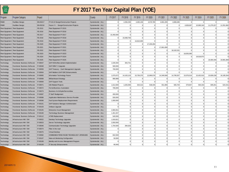

| TURN<br>PIKE                    |                                                         |                           |                                                        | FY 2017 Ten Year Capital Plan (YOE)  |                       |                                  |                      |                      |                      |                      |                      |                      |                                  |                            |
|---------------------------------|---------------------------------------------------------|---------------------------|--------------------------------------------------------|--------------------------------------|-----------------------|----------------------------------|----------------------|----------------------|----------------------|----------------------|----------------------|----------------------|----------------------------------|----------------------------|
| Program                         | Program Category                                        | Project                   |                                                        | County                               | FY 2017               | FY 2018                          | FY 2019              | FY 2020              | FY 2021              | FY 2022              | FY 2023              | FY 2024              | FY 2025                          | FY 2026                    |
| <b>FEMO</b>                     | <b>Facilities Design</b>                                | EN-00217                  | FY18-22 Design/Construction Projects                   | Systemwide - ALL                     | $\Omega$              | 4,356,250                        | 4,465,156            | 4,576,785            | 4,691,205            | 4,808,485            | $\overline{0}$       | $\Omega$             | $\overline{0}$                   |                            |
| <b>FEMO</b>                     | <b>Facilities Design</b>                                | EN-00218                  | Future Yr - Design/Construction Projects               | Systemwide - ALL                     | $\Omega$              | $\Omega$                         | $\Omega$             | $\Omega$             | $\Omega$             | $\Omega$             | 4,928,697            | 10,995,343           | 11,270,227                       | 11,551,982                 |
|                                 | Fleet Equipment Fleet Equipment                         | FE-2015                   | Fleet Equipment FY2015                                 | Systemwide - ALL                     | $\Omega$              | $\Omega$                         | $\Omega$             | $\Omega$             | $\Omega$             | $\Omega$             | $\Omega$             | $\Omega$             | $\Omega$                         |                            |
|                                 | Fleet Equipment Fleet Equipment                         | FE-2016                   | Fleet Equipment FY2016                                 | Systemwide - ALL                     | $\Omega$              | $\overline{0}$                   | $\Omega$             | $\Omega$             | $\Omega$             | $\Omega$             | 0                    | 0                    | $\circ$                          |                            |
|                                 | Fleet Equipment Fleet Equipment                         | FE-2017                   | Fleet Equipment FY2017                                 | Systemwide - ALL                     | 15,450,000            | $\overline{0}$                   | $\Omega$             | $\Omega$             | $\Omega$             | $\Omega$             | $\overline{0}$       | $\Omega$             | $\circ$                          | $\Omega$                   |
|                                 | Fleet Equipment Fleet Equipment                         | FE-2018                   | Fleet Equipment FY2018                                 | Systemwide - ALL                     | $\Omega$              | 15,938,750                       | $\Omega$             | $\Omega$             | $\Omega$             | $\Omega$             | 0                    | $\overline{0}$       | $\circ$                          |                            |
|                                 | Fleet Equipment Fleet Equipment                         | FE-2019                   | Fleet Equipment FY2019                                 | Systemwide - ALL                     | $\Omega$              |                                  | 16,810,000           | $\Omega$             | $\Omega$             | $\Omega$             | $\Omega$             | $\Omega$             | $\overline{0}$                   |                            |
|                                 | Fleet Equipment Fleet Equipment                         | FE-2020                   | Fleet Equipment FY2020                                 | Systemwide - ALL                     | $\Omega$              | $\overline{0}$                   | $\Omega$             | 17.230.250           | $\Omega$             | $\Omega$             | $\Omega$             | $\Omega$             | $\Omega$                         |                            |
|                                 | Fleet Equipment Fleet Equipment                         | FE-2021                   | Fleet Equipment FY2021                                 | Systemwide - ALL                     |                       | $\Omega$                         | $\Omega$             | $\Omega$             | 17,661,006           | $\Omega$             | $\overline{0}$       | $\Omega$             | $\overline{0}$                   |                            |
|                                 | Fleet Equipment Fleet Equipment                         | FE-2022                   | Fleet Equipment FY2022                                 | Systemwide - ALL                     | $\Omega$              | $\overline{0}$                   | $\Omega$             | $\Omega$             | $\Omega$             | 18,102,531           | $\overline{0}$       | $\circ$              | $\overline{0}$                   |                            |
|                                 | Fleet Equipment Fleet Equipment                         | FE-2023                   | Fleet Equipment FY2023                                 | Systemwide - ALL                     | $\circ$               | $\overline{0}$                   | $\overline{0}$       | $\overline{0}$       | $\Omega$             | $\circ$              | 18.555.095           | 0                    | $\circ$                          | $\Omega$                   |
|                                 | Fleet Equipment Fleet Equipment                         | FE-2024                   | Fleet Equipment FY2024                                 | Systemwide - ALL                     |                       | $\Omega$                         | $\Omega$             | $\Omega$             | $\Omega$             | $\Omega$             | $\Omega$             | 19,018,972           | $\Omega$                         |                            |
|                                 | Fleet Equipment Fleet Equipment                         | FE-2025                   | Fleet Equipment FY2025                                 | Systemwide - ALL                     | $\Omega$              | $\Omega$                         | $\Omega$             | $\Omega$             | $\Omega$             | $\Omega$             | 0                    | $\Omega$             | 19,494,446                       | 19,981,808                 |
| Technology                      | Functional Business Softw are                           | IT-00047                  | SAP HCM eRecruitment Implementation                    | Systemwide - ALL                     | 1,535,930             | 304,751                          | $\Omega$             | $\Omega$             | $\Omega$             | $\Omega$             | $\overline{0}$       | $\Omega$             | $\Omega$                         |                            |
| Technology                      | Functional Business Softw are                           | $\mathsf{T}\text{-}00048$ | SAP SRM 7.3 Upgrade                                    | Systemwide - ALL                     | 500,000               | $\Omega$                         | $\Omega$             | $\Omega$             | $\Omega$             | $\Omega$             | $\Omega$             | $\Omega$             | $\overline{0}$                   |                            |
| Technology                      | Functional Business Softw are                           | <b>IT-00059</b>           | SAP Treasury - Cash Management Upgrade:                | Systemwide - ALL                     | 700,000               | $\overline{0}$                   | $\Omega$             | $\Omega$             | $\Omega$             | $\Omega$             | 0                    | $\Omega$             | $\overline{0}$                   |                            |
| Technology                      | Functional Business Softw are                           | <b>IT-00064</b>           | SAP Mobile & SAP GRC Enhancements                      | Systemwide - ALL                     | $\Omega$              | $\Omega$                         | $\Omega$             |                      |                      |                      | $\Omega$             | $\Omega$             | $\overline{0}$                   |                            |
| Technology                      | Functional Business Softw are                           | <b>IT-00065</b>           | Information Technology Future                          | Systemwide - ALL                     | 1,075,672             | 14, 163, 124                     | 15,759,375           | 13,999,578           | 14,349,568           | 14,708,307           | 15,076,014           | 15,452,915           | 15,839,238                       | 16, 185, 264               |
| Technology                      | Functional Business Softw are                           | IT-00068                  | <b>BVDashboard Strategy</b>                            | Systemwide - ALL                     | 990,989               | $\Omega$                         | $^{\circ}$           | $\Omega$             |                      | $\Omega$             | $\overline{0}$       | $\Omega$             | $\overline{0}$                   |                            |
| Technology                      | Functional Business Softw are                           | IT-00069                  | <b>SAP Support Tools</b>                               | Systemwide - ALL                     | $\Omega$              | $\Omega$                         | $\Omega$             | $\Omega$             | $\Omega$             | $\Omega$             | $\Omega$             | $\Omega$             | 0                                |                            |
| Technology                      | Functional Business Softw are                           | $\textsf{IT}-00071$       | <b>GIS Related Projects</b>                            | Systemwide - ALL                     | 1,612,000             | 1,025,000                        | 525,313              | 538,445              | 551,906              | 565,704              | 579,847              | 594,343              | 609,201                          | 624,431                    |
| Technology                      | Functional Business Softw are                           | IT-00072                  | Forms/Business Automation                              | Systemwide - ALL                     | 706,000               | $\overline{0}$                   | $\Omega$             | $\Omega$             | $\Omega$             | $\Omega$             | $\Omega$             | $\Omega$             | $\Omega$                         |                            |
| Technology                      | <b>Functional Business Software</b>                     | <b>IT-00073</b>           | Business Arch/Aptio/ServiceNow                         | Systemwide - ALL                     | $\Omega$              | $\overline{0}$                   | $\overline{0}$       | $\Omega$             | $\Omega$             | $\Omega$             | 0                    | $\overline{0}$       | $\circ$                          |                            |
| Technology                      | Functional Business Softw are                           | <b>IT-00087</b>           | <b>IT Staff Realignment</b>                            | Systemwide - ALL                     | 450,000               | $\Omega$                         | $\Omega$             | $\Omega$             | $\Omega$             | $\Omega$             | $\overline{0}$       | $\Omega$             | $\overline{0}$                   | $\Omega$                   |
| Technology                      | Functional Business Softw are                           | <b>IT-00088</b>           | Application Maintenance Service Provider               | Systemwide - ALL                     | 550,000               | $\Omega$                         | $\Omega$             | $\overline{0}$       | $\Omega$             | $\Omega$             | $\overline{0}$       | $\circ$              | $\overline{0}$                   |                            |
| Technology                      | <b>Functional Business Software</b>                     | <b>IT-00098</b>           | <b>Fuel System Replacement Requirements</b>            | Systemwide - ALL                     | 1,000,000             | $\overline{0}$                   | $\Omega$             | $\Omega$             | $\Omega$             | $\Omega$             | $\overline{0}$       | $\Omega$             | $\overline{0}$                   |                            |
| Technology                      | Functional Business Softw are                           | $\mathsf{T}\text{-}00101$ | <b>SAP Solutions Manager Administration</b>            | Systemwide - ALL                     | $\Omega$              | $\Omega$                         | $\Omega$             | $\Omega$             | $\Omega$             | $\Omega$             | $\overline{0}$       | $\Omega$             | $\overline{0}$                   | $\Omega$                   |
| Technology                      | Functional Business Softw are                           | IT-00103                  | OnBase Upgrade                                         | Systemwide - ALL                     |                       | $\overline{0}$                   | $\Omega$             | $\Omega$<br>$\Omega$ | $\Omega$<br>$\Omega$ | $\Omega$<br>$\Omega$ | 0                    | $\Omega$             | $\overline{0}$                   |                            |
| Technology                      | Functional Business Softw are                           | IT-00105                  | <b>Enterprise Asset Management</b>                     | Systemwide - ALL                     | 2,084,651             | $\overline{0}$<br>$\overline{0}$ | $\Omega$<br>$\Omega$ | $\overline{0}$       | $\Omega$             | $\circ$              | $\overline{0}$<br> 0 | $\overline{0}$<br> 0 | $\overline{0}$<br> 0             | $\overline{0}$<br>$\Omega$ |
| Technology                      | Functional Business Softw are                           | TT-00106                  | <b>Technology Business Management</b>                  | Systemwide - ALL                     | 1,461,937             |                                  |                      | $\Omega$             |                      | $\Omega$             | $\Omega$             | $\Omega$             |                                  |                            |
| Technology                      | Functional Business Softw are<br>Infrastructure HW / SW | IT-00112<br>IT-00022      | <b>ATMS Replacement</b>                                | Systemwide - ALL                     | 540,000               | $\Omega$<br>$\Omega$             | $\Omega$<br>$\Omega$ | $\Omega$             | $\Omega$<br>$\Omega$ | $\Omega$             | $\overline{0}$       | $\Omega$             | $\overline{0}$<br>$\overline{0}$ | $\Omega$                   |
| Technology                      |                                                         |                           | Desktop Technology Upgrades                            | Systemwide - ALL                     | 1,918,821             | $\Omega$                         | $\Omega$             | $\Omega$             | $\Omega$             | $\Omega$             | $\overline{0}$       | $\Omega$             | $\overline{0}$                   |                            |
| Technology                      | Infrastructure HW / SW                                  | IT-00023                  | Server Technology Upgrades                             | Systemwide - ALL                     | 2,050,000             | 394,625                          | $\Omega$             | $\Omega$             | $\Omega$             | $\Omega$             | 0                    | $\overline{0}$       | $\overline{0}$                   |                            |
| Technology                      | Infrastructure HW / SW<br>Infrastructure HW / SW        | IT-00046<br>IT-00074      | Communication Technology Upgrades<br>Fiber in the road | Systemwide - ALL<br>Systemwide - ALL | 1,704,500<br>$\Omega$ | $\Omega$                         | $\Omega$             | $\Omega$             | $\Omega$             | $\Omega$             | $\overline{0}$       | $\Omega$             | 0                                | $\Omega$                   |
| Technology                      | Infrastructure HW / SW                                  | IT-00075                  | <b>Virtual Desktop</b>                                 | Systemwide - ALL                     |                       | $\Omega$                         | $\Omega$             | $\Omega$             | $\Omega$             | $\Omega$             | $\Omega$             | $\Omega$             | $\overline{0}$                   | $\theta$                   |
| Technology<br><b>Technology</b> | Infrastructure HW / SW                                  | IT-00082                  | COMMUNICATIONS RADIO TECHNOLOGY UPGRADES               | Systemwide - ALL                     | 842,500               | $\Omega$                         | $\Omega$             | $\Omega$             | $\Omega$             | $\Omega$             | $\overline{0}$       | $\Omega$             | $\overline{0}$                   |                            |
| Technology                      | Infrastructure HW / SW                                  | IT-00107                  | Netw ork Monitoring Configuration                      | Systemwide - ALL                     | 50,000                | $\overline{0}$                   | $\Omega$             | $\Omega$             | $\Omega$             | $\Omega$             | $\overline{0}$       | $\Omega$             | $\overline{0}$                   |                            |
| Technology                      | Infrastructure HW / SW                                  | IT-00108                  | Identity and Access Management Program                 | Systemwide - ALL                     |                       | $\Omega$                         | $\Omega$             | $\overline{0}$       | $\Omega$             | $\circ$              | 0                    | 0                    | 0                                | $\Omega$                   |
| <b>Technology</b>               | Infrastructure HW / SW                                  | IT-00109                  | <b>IT Security Enhancements</b>                        | Systemwide - ALL                     | 90,000                | 0                                | $\overline{0}$       | $\overline{0}$       | $\overline{0}$       | $\overline{0}$       | 0                    | 0                    | 0                                |                            |
|                                 |                                                         |                           |                                                        |                                      |                       |                                  |                      |                      |                      |                      |                      |                      |                                  |                            |